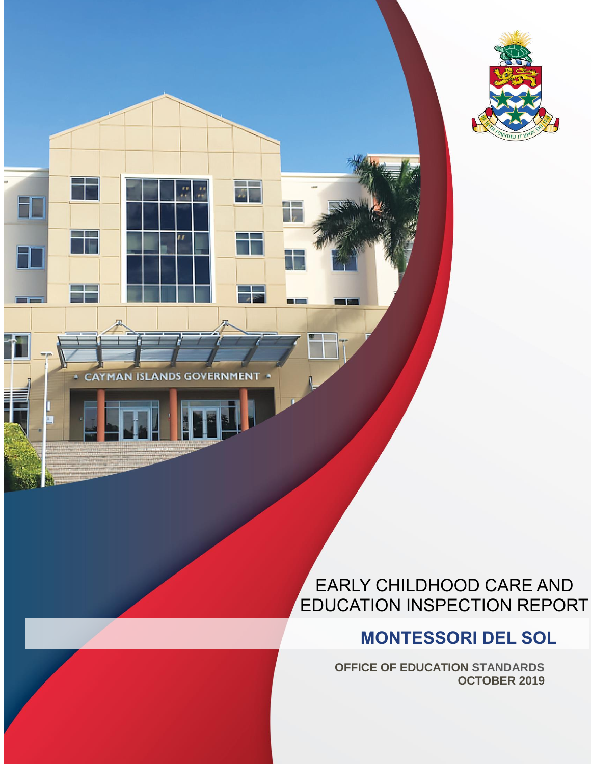

**CAYMAN ISLANDS GOVERNMENT** 

### EARLY CHILDHOOD CARE AND EDUCATION INSPECTION REPORT

### **MONTESSORI DEL SOL**

**OFFICE OF EDUCATION STANDARDS OCTOBER 2019**

EARLY CHILDHOOD CARE AND EDUCATION INSPECTION REPORT | MONTESSORI DEL SOL | OCTOBER 2019 1

**Tall** 

. The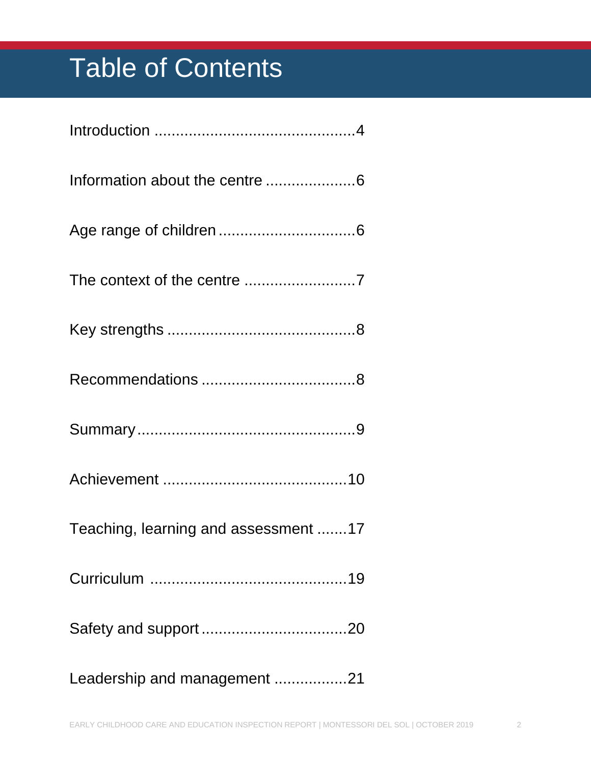# Table of Contents

| Teaching, learning and assessment 17 |
|--------------------------------------|
|                                      |
|                                      |
| Leadership and management 21         |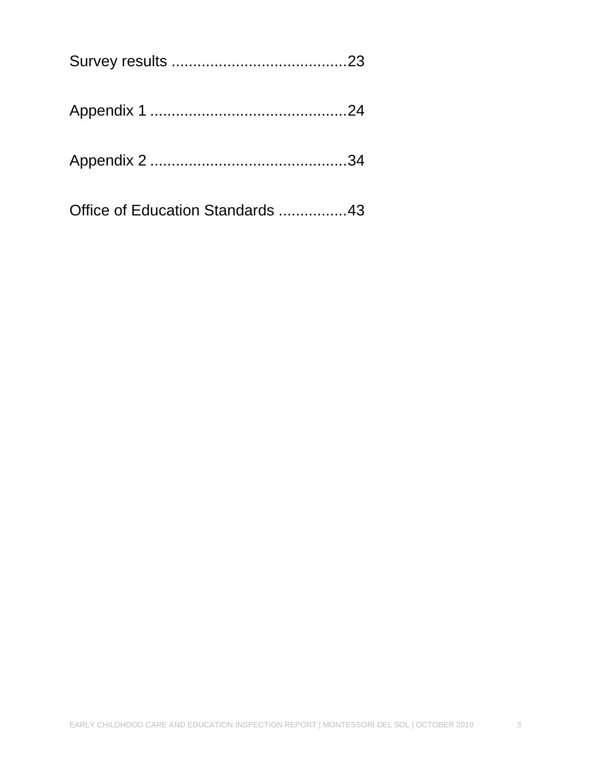| Office of Education Standards 43 |  |
|----------------------------------|--|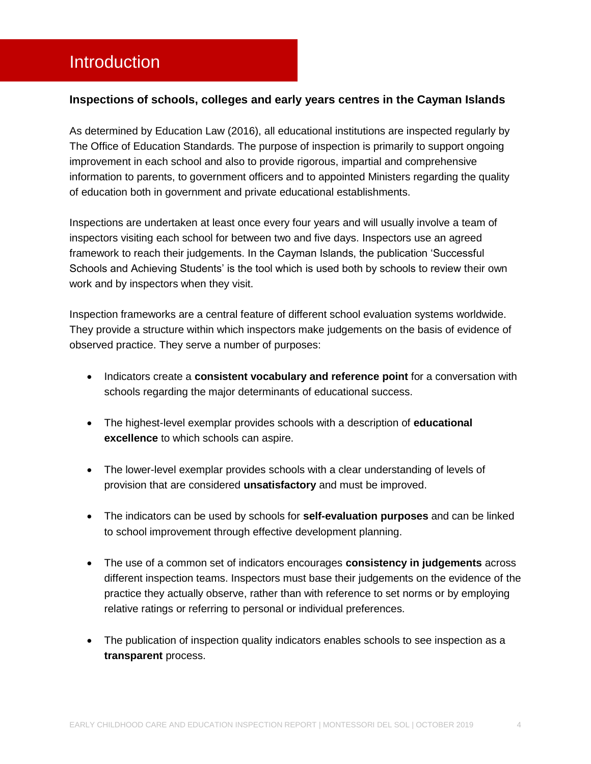### <span id="page-3-0"></span>Introduction

#### **Inspections of schools, colleges and early years centres in the Cayman Islands**

As determined by Education Law (2016), all educational institutions are inspected regularly by The Office of Education Standards. The purpose of inspection is primarily to support ongoing improvement in each school and also to provide rigorous, impartial and comprehensive information to parents, to government officers and to appointed Ministers regarding the quality of education both in government and private educational establishments.

Inspections are undertaken at least once every four years and will usually involve a team of inspectors visiting each school for between two and five days. Inspectors use an agreed framework to reach their judgements. In the Cayman Islands, the publication 'Successful Schools and Achieving Students' is the tool which is used both by schools to review their own work and by inspectors when they visit.

Inspection frameworks are a central feature of different school evaluation systems worldwide. They provide a structure within which inspectors make judgements on the basis of evidence of observed practice. They serve a number of purposes:

- **Indicators create a consistent vocabulary and reference point for a conversation with** schools regarding the major determinants of educational success.
- The highest-level exemplar provides schools with a description of **educational excellence** to which schools can aspire.
- The lower-level exemplar provides schools with a clear understanding of levels of provision that are considered **unsatisfactory** and must be improved.
- The indicators can be used by schools for **self-evaluation purposes** and can be linked to school improvement through effective development planning.
- The use of a common set of indicators encourages **consistency in judgements** across different inspection teams. Inspectors must base their judgements on the evidence of the practice they actually observe, rather than with reference to set norms or by employing relative ratings or referring to personal or individual preferences.
- The publication of inspection quality indicators enables schools to see inspection as a **transparent** process.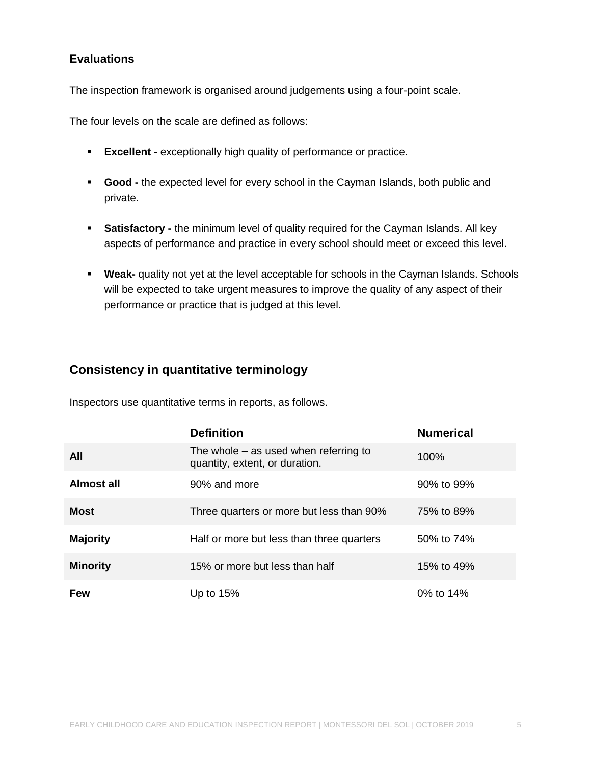#### **Evaluations**

The inspection framework is organised around judgements using a four-point scale.

The four levels on the scale are defined as follows:

- **Excellent -** exceptionally high quality of performance or practice.
- **Good -** the expected level for every school in the Cayman Islands, both public and private.
- **Satisfactory -** the minimum level of quality required for the Cayman Islands. All key aspects of performance and practice in every school should meet or exceed this level.
- **Weak-** quality not yet at the level acceptable for schools in the Cayman Islands. Schools will be expected to take urgent measures to improve the quality of any aspect of their performance or practice that is judged at this level.

#### **Consistency in quantitative terminology**

Inspectors use quantitative terms in reports, as follows.

|                   | <b>Definition</b>                                                         | <b>Numerical</b> |
|-------------------|---------------------------------------------------------------------------|------------------|
| All               | The whole $-$ as used when referring to<br>quantity, extent, or duration. | 100%             |
| <b>Almost all</b> | 90% and more                                                              | 90% to 99%       |
| <b>Most</b>       | Three quarters or more but less than 90%                                  | 75% to 89%       |
| <b>Majority</b>   | Half or more but less than three quarters                                 | 50% to 74%       |
| <b>Minority</b>   | 15% or more but less than half                                            | 15% to 49%       |
| <b>Few</b>        | Up to $15%$                                                               | 0% to $14\%$     |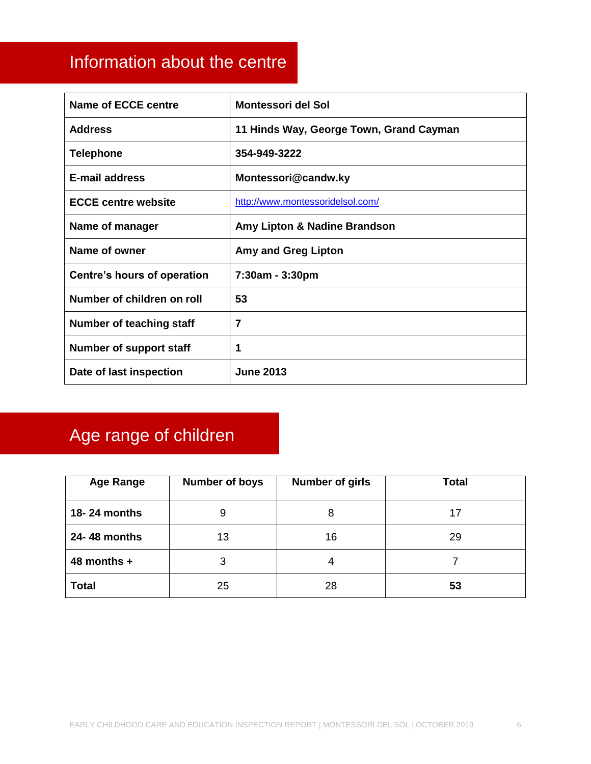### <span id="page-5-0"></span>Information about the centre

| <b>Name of ECCE centre</b>      | <b>Montessori del Sol</b>               |
|---------------------------------|-----------------------------------------|
| <b>Address</b>                  | 11 Hinds Way, George Town, Grand Cayman |
| <b>Telephone</b>                | 354-949-3222                            |
| E-mail address                  | Montessori@candw.ky                     |
| <b>ECCE centre website</b>      | http://www.montessoridelsol.com/        |
| Name of manager                 | Amy Lipton & Nadine Brandson            |
| Name of owner                   | <b>Amy and Greg Lipton</b>              |
| Centre's hours of operation     | 7:30am - 3:30pm                         |
| Number of children on roll      | 53                                      |
| <b>Number of teaching staff</b> | 7                                       |
| Number of support staff         | 1                                       |
| Date of last inspection         | <b>June 2013</b>                        |

## <span id="page-5-1"></span>Age range of children

| <b>Age Range</b> | <b>Number of boys</b> | <b>Number of girls</b> | <b>Total</b> |
|------------------|-----------------------|------------------------|--------------|
| 18-24 months     | 9                     | 8                      | 17           |
| 24-48 months     | 13                    | 16                     | 29           |
| 48 months $+$    | 3                     | 4                      |              |
| <b>Total</b>     | 25                    | 28                     | 53           |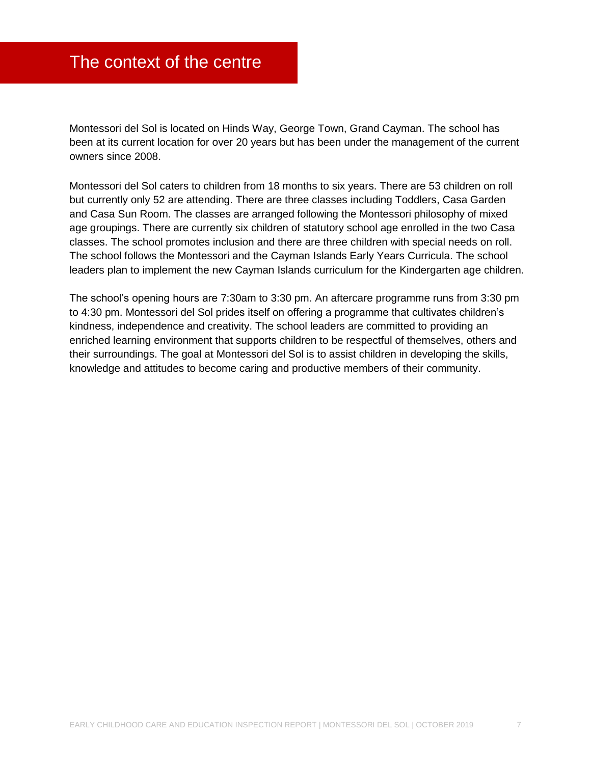### <span id="page-6-0"></span>The context of the centre

Montessori del Sol is located on Hinds Way, George Town, Grand Cayman. The school has been at its current location for over 20 years but has been under the management of the current owners since 2008.

Montessori del Sol caters to children from 18 months to six years. There are 53 children on roll but currently only 52 are attending. There are three classes including Toddlers, Casa Garden and Casa Sun Room. The classes are arranged following the Montessori philosophy of mixed age groupings. There are currently six children of statutory school age enrolled in the two Casa classes. The school promotes inclusion and there are three children with special needs on roll. The school follows the Montessori and the Cayman Islands Early Years Curricula. The school leaders plan to implement the new Cayman Islands curriculum for the Kindergarten age children.

The school's opening hours are 7:30am to 3:30 pm. An aftercare programme runs from 3:30 pm to 4:30 pm. Montessori del Sol prides itself on offering a programme that cultivates children's kindness, independence and creativity. The school leaders are committed to providing an enriched learning environment that supports children to be respectful of themselves, others and their surroundings. The goal at Montessori del Sol is to assist children in developing the skills, knowledge and attitudes to become caring and productive members of their community.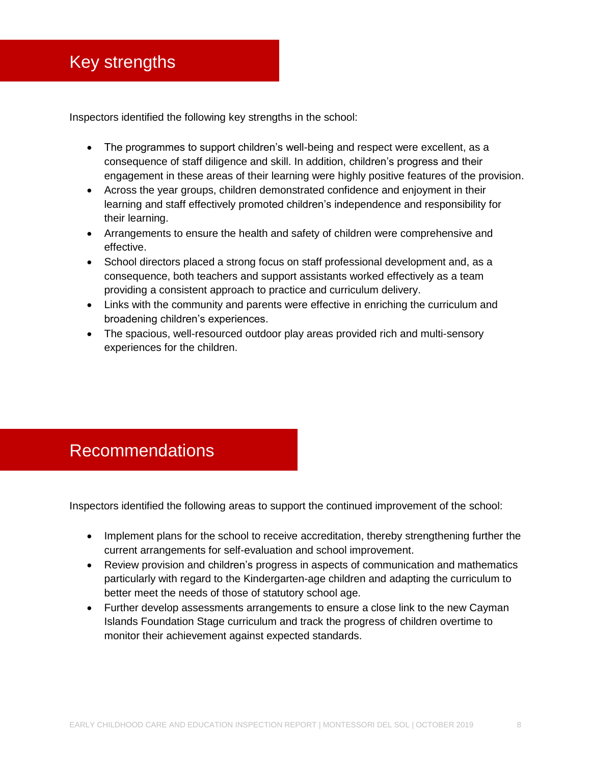### <span id="page-7-0"></span>Key strengths

Inspectors identified the following key strengths in the school:

- The programmes to support children's well-being and respect were excellent, as a consequence of staff diligence and skill. In addition, children's progress and their engagement in these areas of their learning were highly positive features of the provision.
- Across the year groups, children demonstrated confidence and enjoyment in their learning and staff effectively promoted children's independence and responsibility for their learning.
- Arrangements to ensure the health and safety of children were comprehensive and effective.
- School directors placed a strong focus on staff professional development and, as a consequence, both teachers and support assistants worked effectively as a team providing a consistent approach to practice and curriculum delivery.
- Links with the community and parents were effective in enriching the curriculum and broadening children's experiences.
- The spacious, well-resourced outdoor play areas provided rich and multi-sensory experiences for the children.

### <span id="page-7-1"></span>Recommendations

Inspectors identified the following areas to support the continued improvement of the school:

- Implement plans for the school to receive accreditation, thereby strengthening further the current arrangements for self-evaluation and school improvement.
- Review provision and children's progress in aspects of communication and mathematics particularly with regard to the Kindergarten-age children and adapting the curriculum to better meet the needs of those of statutory school age.
- Further develop assessments arrangements to ensure a close link to the new Cayman Islands Foundation Stage curriculum and track the progress of children overtime to monitor their achievement against expected standards.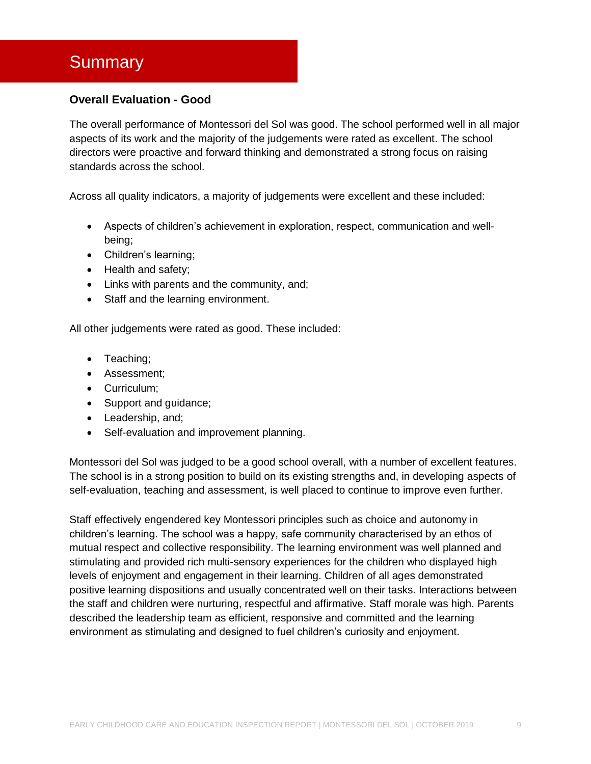### <span id="page-8-0"></span>**Summary**

#### **Overall Evaluation - Good**

The overall performance of Montessori del Sol was good. The school performed well in all major aspects of its work and the majority of the judgements were rated as excellent. The school directors were proactive and forward thinking and demonstrated a strong focus on raising standards across the school.

Across all quality indicators, a majority of judgements were excellent and these included:

- Aspects of children's achievement in exploration, respect, communication and wellbeing;
- Children's learning;
- Health and safety;
- Links with parents and the community, and;
- Staff and the learning environment.

All other judgements were rated as good. These included:

- Teaching;
- Assessment;
- Curriculum:
- Support and guidance;
- Leadership, and;
- Self-evaluation and improvement planning.

Montessori del Sol was judged to be a good school overall, with a number of excellent features. The school is in a strong position to build on its existing strengths and, in developing aspects of self-evaluation, teaching and assessment, is well placed to continue to improve even further.

Staff effectively engendered key Montessori principles such as choice and autonomy in children's learning. The school was a happy, safe community characterised by an ethos of mutual respect and collective responsibility. The learning environment was well planned and stimulating and provided rich multi-sensory experiences for the children who displayed high levels of enjoyment and engagement in their learning. Children of all ages demonstrated positive learning dispositions and usually concentrated well on their tasks. Interactions between the staff and children were nurturing, respectful and affirmative. Staff morale was high. Parents described the leadership team as efficient, responsive and committed and the learning environment as stimulating and designed to fuel children's curiosity and enjoyment.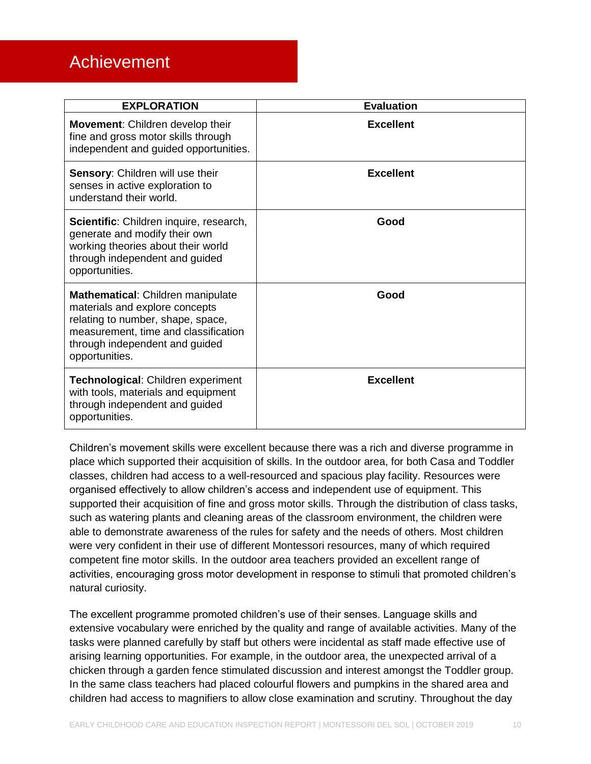### <span id="page-9-0"></span>Achievement

| <b>EXPLORATION</b>                                                                                                                                                                                   | <b>Evaluation</b> |
|------------------------------------------------------------------------------------------------------------------------------------------------------------------------------------------------------|-------------------|
| <b>Movement:</b> Children develop their<br>fine and gross motor skills through<br>independent and guided opportunities.                                                                              | <b>Excellent</b>  |
| Sensory: Children will use their<br>senses in active exploration to<br>understand their world.                                                                                                       | <b>Excellent</b>  |
| Scientific: Children inquire, research,<br>generate and modify their own<br>working theories about their world<br>through independent and guided<br>opportunities.                                   | Good              |
| Mathematical: Children manipulate<br>materials and explore concepts<br>relating to number, shape, space,<br>measurement, time and classification<br>through independent and guided<br>opportunities. | Good              |
| Technological: Children experiment<br>with tools, materials and equipment<br>through independent and guided<br>opportunities.                                                                        | <b>Excellent</b>  |

Children's movement skills were excellent because there was a rich and diverse programme in place which supported their acquisition of skills. In the outdoor area, for both Casa and Toddler classes, children had access to a well-resourced and spacious play facility. Resources were organised effectively to allow children's access and independent use of equipment. This supported their acquisition of fine and gross motor skills. Through the distribution of class tasks, such as watering plants and cleaning areas of the classroom environment, the children were able to demonstrate awareness of the rules for safety and the needs of others. Most children were very confident in their use of different Montessori resources, many of which required competent fine motor skills. In the outdoor area teachers provided an excellent range of activities, encouraging gross motor development in response to stimuli that promoted children's natural curiosity.

The excellent programme promoted children's use of their senses. Language skills and extensive vocabulary were enriched by the quality and range of available activities. Many of the tasks were planned carefully by staff but others were incidental as staff made effective use of arising learning opportunities. For example, in the outdoor area, the unexpected arrival of a chicken through a garden fence stimulated discussion and interest amongst the Toddler group. In the same class teachers had placed colourful flowers and pumpkins in the shared area and children had access to magnifiers to allow close examination and scrutiny. Throughout the day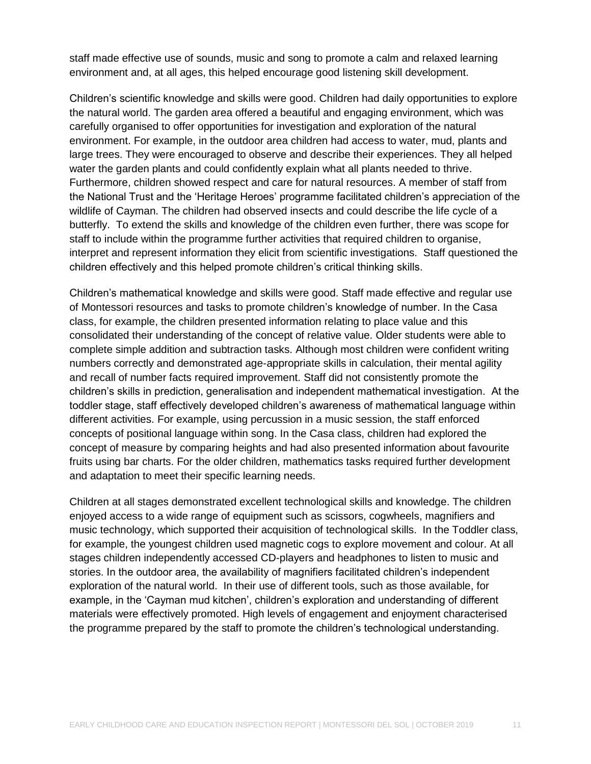staff made effective use of sounds, music and song to promote a calm and relaxed learning environment and, at all ages, this helped encourage good listening skill development.

Children's scientific knowledge and skills were good. Children had daily opportunities to explore the natural world. The garden area offered a beautiful and engaging environment, which was carefully organised to offer opportunities for investigation and exploration of the natural environment. For example, in the outdoor area children had access to water, mud, plants and large trees. They were encouraged to observe and describe their experiences. They all helped water the garden plants and could confidently explain what all plants needed to thrive. Furthermore, children showed respect and care for natural resources. A member of staff from the National Trust and the 'Heritage Heroes' programme facilitated children's appreciation of the wildlife of Cayman. The children had observed insects and could describe the life cycle of a butterfly. To extend the skills and knowledge of the children even further, there was scope for staff to include within the programme further activities that required children to organise, interpret and represent information they elicit from scientific investigations. Staff questioned the children effectively and this helped promote children's critical thinking skills.

Children's mathematical knowledge and skills were good. Staff made effective and regular use of Montessori resources and tasks to promote children's knowledge of number. In the Casa class, for example, the children presented information relating to place value and this consolidated their understanding of the concept of relative value. Older students were able to complete simple addition and subtraction tasks. Although most children were confident writing numbers correctly and demonstrated age-appropriate skills in calculation, their mental agility and recall of number facts required improvement. Staff did not consistently promote the children's skills in prediction, generalisation and independent mathematical investigation. At the toddler stage, staff effectively developed children's awareness of mathematical language within different activities. For example, using percussion in a music session, the staff enforced concepts of positional language within song. In the Casa class, children had explored the concept of measure by comparing heights and had also presented information about favourite fruits using bar charts. For the older children, mathematics tasks required further development and adaptation to meet their specific learning needs.

Children at all stages demonstrated excellent technological skills and knowledge. The children enjoyed access to a wide range of equipment such as scissors, cogwheels, magnifiers and music technology, which supported their acquisition of technological skills. In the Toddler class, for example, the youngest children used magnetic cogs to explore movement and colour. At all stages children independently accessed CD-players and headphones to listen to music and stories. In the outdoor area, the availability of magnifiers facilitated children's independent exploration of the natural world. In their use of different tools, such as those available, for example, in the 'Cayman mud kitchen', children's exploration and understanding of different materials were effectively promoted. High levels of engagement and enjoyment characterised the programme prepared by the staff to promote the children's technological understanding.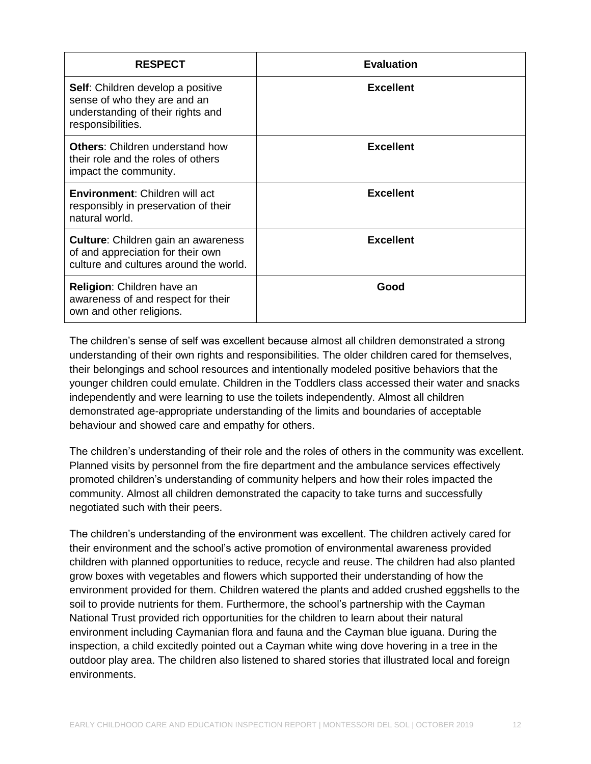| <b>RESPECT</b>                                                                                                                     | <b>Evaluation</b> |
|------------------------------------------------------------------------------------------------------------------------------------|-------------------|
| <b>Self:</b> Children develop a positive<br>sense of who they are and an<br>understanding of their rights and<br>responsibilities. | <b>Excellent</b>  |
| <b>Others:</b> Children understand how<br>their role and the roles of others<br>impact the community.                              | <b>Excellent</b>  |
| <b>Environment:</b> Children will act<br>responsibly in preservation of their<br>natural world.                                    | <b>Excellent</b>  |
| <b>Culture:</b> Children gain an awareness<br>of and appreciation for their own<br>culture and cultures around the world.          | <b>Excellent</b>  |
| <b>Religion:</b> Children have an<br>awareness of and respect for their<br>own and other religions.                                | Good              |

The children's sense of self was excellent because almost all children demonstrated a strong understanding of their own rights and responsibilities. The older children cared for themselves, their belongings and school resources and intentionally modeled positive behaviors that the younger children could emulate. Children in the Toddlers class accessed their water and snacks independently and were learning to use the toilets independently. Almost all children demonstrated age-appropriate understanding of the limits and boundaries of acceptable behaviour and showed care and empathy for others.

The children's understanding of their role and the roles of others in the community was excellent. Planned visits by personnel from the fire department and the ambulance services effectively promoted children's understanding of community helpers and how their roles impacted the community. Almost all children demonstrated the capacity to take turns and successfully negotiated such with their peers.

The children's understanding of the environment was excellent. The children actively cared for their environment and the school's active promotion of environmental awareness provided children with planned opportunities to reduce, recycle and reuse. The children had also planted grow boxes with vegetables and flowers which supported their understanding of how the environment provided for them. Children watered the plants and added crushed eggshells to the soil to provide nutrients for them. Furthermore, the school's partnership with the Cayman National Trust provided rich opportunities for the children to learn about their natural environment including Caymanian flora and fauna and the Cayman blue iguana. During the inspection, a child excitedly pointed out a Cayman white wing dove hovering in a tree in the outdoor play area. The children also listened to shared stories that illustrated local and foreign environments.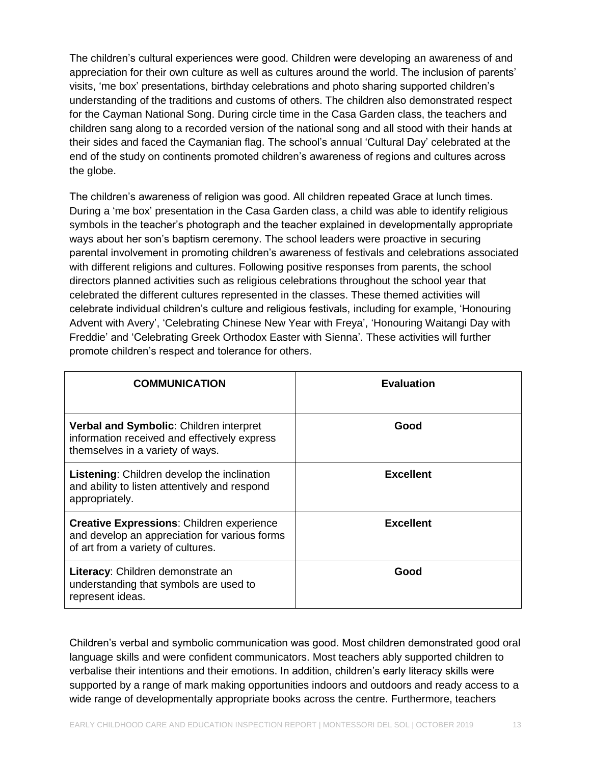The children's cultural experiences were good. Children were developing an awareness of and appreciation for their own culture as well as cultures around the world. The inclusion of parents' visits, 'me box' presentations, birthday celebrations and photo sharing supported children's understanding of the traditions and customs of others. The children also demonstrated respect for the Cayman National Song. During circle time in the Casa Garden class, the teachers and children sang along to a recorded version of the national song and all stood with their hands at their sides and faced the Caymanian flag. The school's annual 'Cultural Day' celebrated at the end of the study on continents promoted children's awareness of regions and cultures across the globe.

The children's awareness of religion was good. All children repeated Grace at lunch times. During a 'me box' presentation in the Casa Garden class, a child was able to identify religious symbols in the teacher's photograph and the teacher explained in developmentally appropriate ways about her son's baptism ceremony. The school leaders were proactive in securing parental involvement in promoting children's awareness of festivals and celebrations associated with different religions and cultures. Following positive responses from parents, the school directors planned activities such as religious celebrations throughout the school year that celebrated the different cultures represented in the classes. These themed activities will celebrate individual children's culture and religious festivals, including for example, 'Honouring Advent with Avery', 'Celebrating Chinese New Year with Freya', 'Honouring Waitangi Day with Freddie' and 'Celebrating Greek Orthodox Easter with Sienna'. These activities will further promote children's respect and tolerance for others.

| <b>COMMUNICATION</b>                                                                                                                    | <b>Evaluation</b> |
|-----------------------------------------------------------------------------------------------------------------------------------------|-------------------|
| Verbal and Symbolic: Children interpret<br>information received and effectively express<br>themselves in a variety of ways.             | Good              |
| <b>Listening:</b> Children develop the inclination<br>and ability to listen attentively and respond<br>appropriately.                   | <b>Excellent</b>  |
| <b>Creative Expressions: Children experience</b><br>and develop an appreciation for various forms<br>of art from a variety of cultures. | <b>Excellent</b>  |
| Literacy: Children demonstrate an<br>understanding that symbols are used to<br>represent ideas.                                         | Good              |

Children's verbal and symbolic communication was good. Most children demonstrated good oral language skills and were confident communicators. Most teachers ably supported children to verbalise their intentions and their emotions. In addition, children's early literacy skills were supported by a range of mark making opportunities indoors and outdoors and ready access to a wide range of developmentally appropriate books across the centre. Furthermore, teachers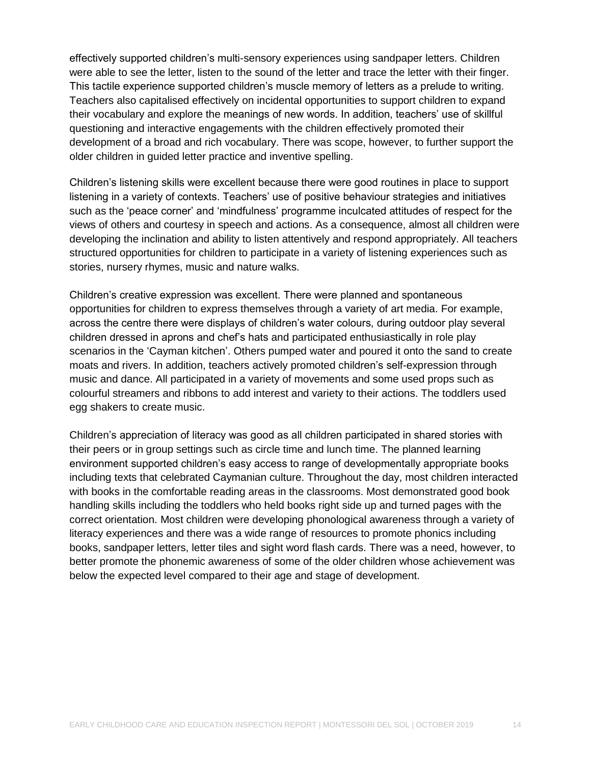effectively supported children's multi-sensory experiences using sandpaper letters. Children were able to see the letter, listen to the sound of the letter and trace the letter with their finger. This tactile experience supported children's muscle memory of letters as a prelude to writing. Teachers also capitalised effectively on incidental opportunities to support children to expand their vocabulary and explore the meanings of new words. In addition, teachers' use of skillful questioning and interactive engagements with the children effectively promoted their development of a broad and rich vocabulary. There was scope, however, to further support the older children in guided letter practice and inventive spelling.

Children's listening skills were excellent because there were good routines in place to support listening in a variety of contexts. Teachers' use of positive behaviour strategies and initiatives such as the 'peace corner' and 'mindfulness' programme inculcated attitudes of respect for the views of others and courtesy in speech and actions. As a consequence, almost all children were developing the inclination and ability to listen attentively and respond appropriately. All teachers structured opportunities for children to participate in a variety of listening experiences such as stories, nursery rhymes, music and nature walks.

Children's creative expression was excellent. There were planned and spontaneous opportunities for children to express themselves through a variety of art media. For example, across the centre there were displays of children's water colours, during outdoor play several children dressed in aprons and chef's hats and participated enthusiastically in role play scenarios in the 'Cayman kitchen'. Others pumped water and poured it onto the sand to create moats and rivers. In addition, teachers actively promoted children's self-expression through music and dance. All participated in a variety of movements and some used props such as colourful streamers and ribbons to add interest and variety to their actions. The toddlers used egg shakers to create music.

Children's appreciation of literacy was good as all children participated in shared stories with their peers or in group settings such as circle time and lunch time. The planned learning environment supported children's easy access to range of developmentally appropriate books including texts that celebrated Caymanian culture. Throughout the day, most children interacted with books in the comfortable reading areas in the classrooms. Most demonstrated good book handling skills including the toddlers who held books right side up and turned pages with the correct orientation. Most children were developing phonological awareness through a variety of literacy experiences and there was a wide range of resources to promote phonics including books, sandpaper letters, letter tiles and sight word flash cards. There was a need, however, to better promote the phonemic awareness of some of the older children whose achievement was below the expected level compared to their age and stage of development.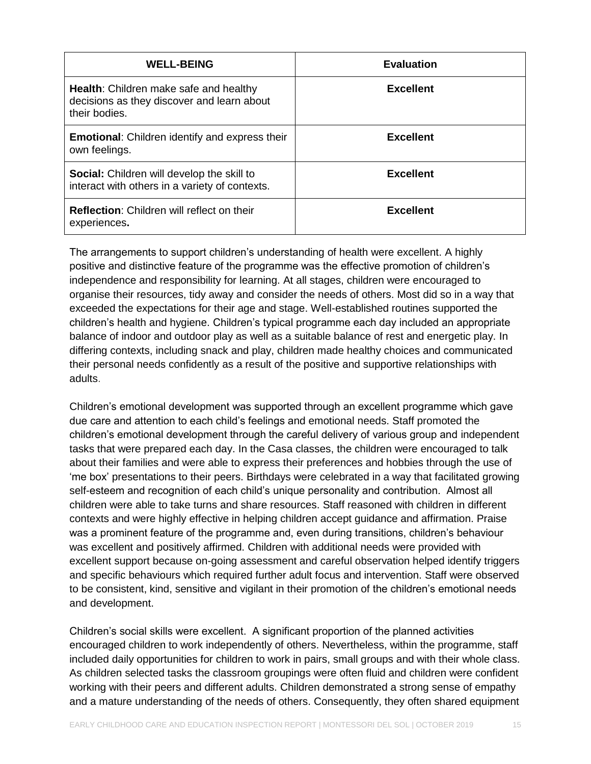| <b>WELL-BEING</b>                                                                                            | <b>Evaluation</b> |
|--------------------------------------------------------------------------------------------------------------|-------------------|
| <b>Health:</b> Children make safe and healthy<br>decisions as they discover and learn about<br>their bodies. | <b>Excellent</b>  |
| <b>Emotional:</b> Children identify and express their<br>own feelings.                                       | <b>Excellent</b>  |
| <b>Social:</b> Children will develop the skill to<br>interact with others in a variety of contexts.          | <b>Excellent</b>  |
| <b>Reflection:</b> Children will reflect on their<br>experiences.                                            | <b>Excellent</b>  |

The arrangements to support children's understanding of health were excellent. A highly positive and distinctive feature of the programme was the effective promotion of children's independence and responsibility for learning. At all stages, children were encouraged to organise their resources, tidy away and consider the needs of others. Most did so in a way that exceeded the expectations for their age and stage. Well-established routines supported the children's health and hygiene. Children's typical programme each day included an appropriate balance of indoor and outdoor play as well as a suitable balance of rest and energetic play. In differing contexts, including snack and play, children made healthy choices and communicated their personal needs confidently as a result of the positive and supportive relationships with adults.

Children's emotional development was supported through an excellent programme which gave due care and attention to each child's feelings and emotional needs. Staff promoted the children's emotional development through the careful delivery of various group and independent tasks that were prepared each day. In the Casa classes, the children were encouraged to talk about their families and were able to express their preferences and hobbies through the use of 'me box' presentations to their peers. Birthdays were celebrated in a way that facilitated growing self-esteem and recognition of each child's unique personality and contribution. Almost all children were able to take turns and share resources. Staff reasoned with children in different contexts and were highly effective in helping children accept guidance and affirmation. Praise was a prominent feature of the programme and, even during transitions, children's behaviour was excellent and positively affirmed. Children with additional needs were provided with excellent support because on-going assessment and careful observation helped identify triggers and specific behaviours which required further adult focus and intervention. Staff were observed to be consistent, kind, sensitive and vigilant in their promotion of the children's emotional needs and development.

Children's social skills were excellent. A significant proportion of the planned activities encouraged children to work independently of others. Nevertheless, within the programme, staff included daily opportunities for children to work in pairs, small groups and with their whole class. As children selected tasks the classroom groupings were often fluid and children were confident working with their peers and different adults. Children demonstrated a strong sense of empathy and a mature understanding of the needs of others. Consequently, they often shared equipment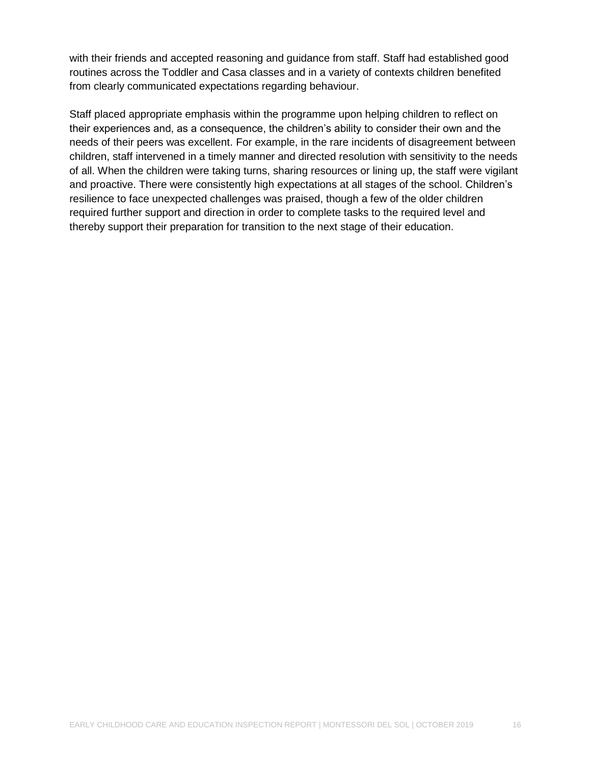with their friends and accepted reasoning and guidance from staff. Staff had established good routines across the Toddler and Casa classes and in a variety of contexts children benefited from clearly communicated expectations regarding behaviour.

Staff placed appropriate emphasis within the programme upon helping children to reflect on their experiences and, as a consequence, the children's ability to consider their own and the needs of their peers was excellent. For example, in the rare incidents of disagreement between children, staff intervened in a timely manner and directed resolution with sensitivity to the needs of all. When the children were taking turns, sharing resources or lining up, the staff were vigilant and proactive. There were consistently high expectations at all stages of the school. Children's resilience to face unexpected challenges was praised, though a few of the older children required further support and direction in order to complete tasks to the required level and thereby support their preparation for transition to the next stage of their education.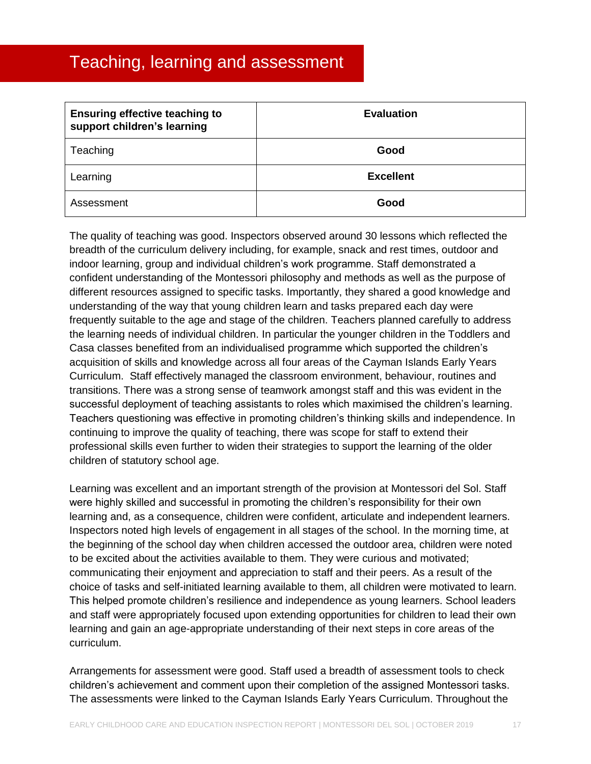### <span id="page-16-0"></span>Teaching, learning and assessment

| <b>Ensuring effective teaching to</b><br>support children's learning | <b>Evaluation</b> |
|----------------------------------------------------------------------|-------------------|
| Teaching                                                             | Good              |
| Learning                                                             | <b>Excellent</b>  |
| Assessment                                                           | Good              |

The quality of teaching was good. Inspectors observed around 30 lessons which reflected the breadth of the curriculum delivery including, for example, snack and rest times, outdoor and indoor learning, group and individual children's work programme. Staff demonstrated a confident understanding of the Montessori philosophy and methods as well as the purpose of different resources assigned to specific tasks. Importantly, they shared a good knowledge and understanding of the way that young children learn and tasks prepared each day were frequently suitable to the age and stage of the children. Teachers planned carefully to address the learning needs of individual children. In particular the younger children in the Toddlers and Casa classes benefited from an individualised programme which supported the children's acquisition of skills and knowledge across all four areas of the Cayman Islands Early Years Curriculum. Staff effectively managed the classroom environment, behaviour, routines and transitions. There was a strong sense of teamwork amongst staff and this was evident in the successful deployment of teaching assistants to roles which maximised the children's learning. Teachers questioning was effective in promoting children's thinking skills and independence. In continuing to improve the quality of teaching, there was scope for staff to extend their professional skills even further to widen their strategies to support the learning of the older children of statutory school age.

Learning was excellent and an important strength of the provision at Montessori del Sol. Staff were highly skilled and successful in promoting the children's responsibility for their own learning and, as a consequence, children were confident, articulate and independent learners. Inspectors noted high levels of engagement in all stages of the school. In the morning time, at the beginning of the school day when children accessed the outdoor area, children were noted to be excited about the activities available to them. They were curious and motivated; communicating their enjoyment and appreciation to staff and their peers. As a result of the choice of tasks and self-initiated learning available to them, all children were motivated to learn. This helped promote children's resilience and independence as young learners. School leaders and staff were appropriately focused upon extending opportunities for children to lead their own learning and gain an age-appropriate understanding of their next steps in core areas of the curriculum.

Arrangements for assessment were good. Staff used a breadth of assessment tools to check children's achievement and comment upon their completion of the assigned Montessori tasks. The assessments were linked to the Cayman Islands Early Years Curriculum. Throughout the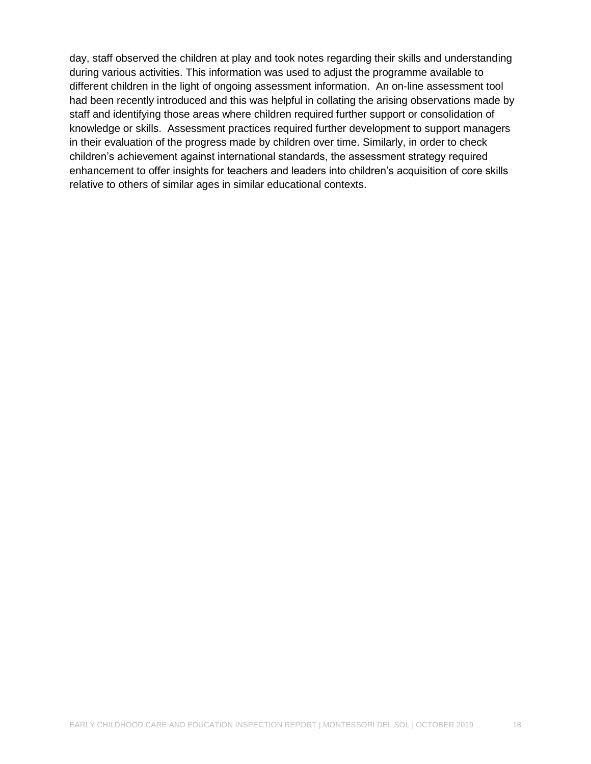day, staff observed the children at play and took notes regarding their skills and understanding during various activities. This information was used to adjust the programme available to different children in the light of ongoing assessment information. An on-line assessment tool had been recently introduced and this was helpful in collating the arising observations made by staff and identifying those areas where children required further support or consolidation of knowledge or skills. Assessment practices required further development to support managers in their evaluation of the progress made by children over time. Similarly, in order to check children's achievement against international standards, the assessment strategy required enhancement to offer insights for teachers and leaders into children's acquisition of core skills relative to others of similar ages in similar educational contexts.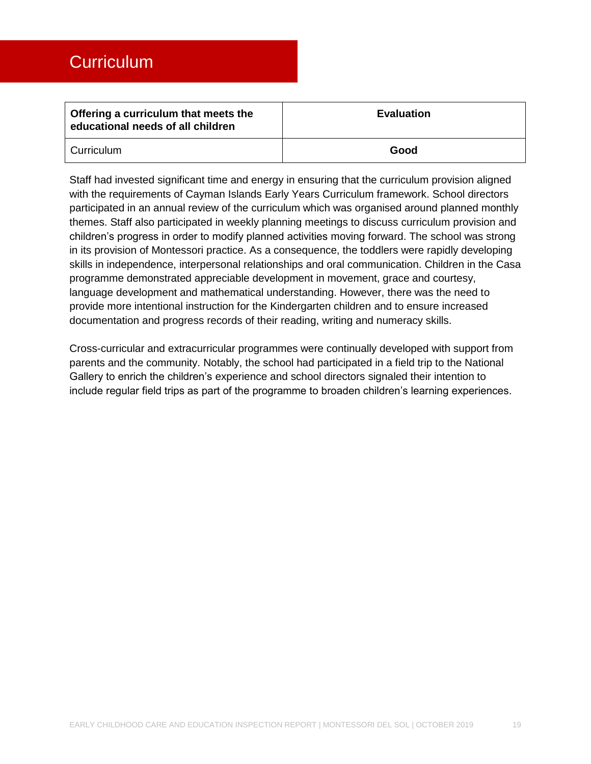<span id="page-18-0"></span>

| Offering a curriculum that meets the<br>educational needs of all children | <b>Evaluation</b> |
|---------------------------------------------------------------------------|-------------------|
| Curriculum                                                                | Good              |

Staff had invested significant time and energy in ensuring that the curriculum provision aligned with the requirements of Cayman Islands Early Years Curriculum framework. School directors participated in an annual review of the curriculum which was organised around planned monthly themes. Staff also participated in weekly planning meetings to discuss curriculum provision and children's progress in order to modify planned activities moving forward. The school was strong in its provision of Montessori practice. As a consequence, the toddlers were rapidly developing skills in independence, interpersonal relationships and oral communication. Children in the Casa programme demonstrated appreciable development in movement, grace and courtesy, language development and mathematical understanding. However, there was the need to provide more intentional instruction for the Kindergarten children and to ensure increased documentation and progress records of their reading, writing and numeracy skills.

Cross-curricular and extracurricular programmes were continually developed with support from parents and the community. Notably, the school had participated in a field trip to the National Gallery to enrich the children's experience and school directors signaled their intention to include regular field trips as part of the programme to broaden children's learning experiences.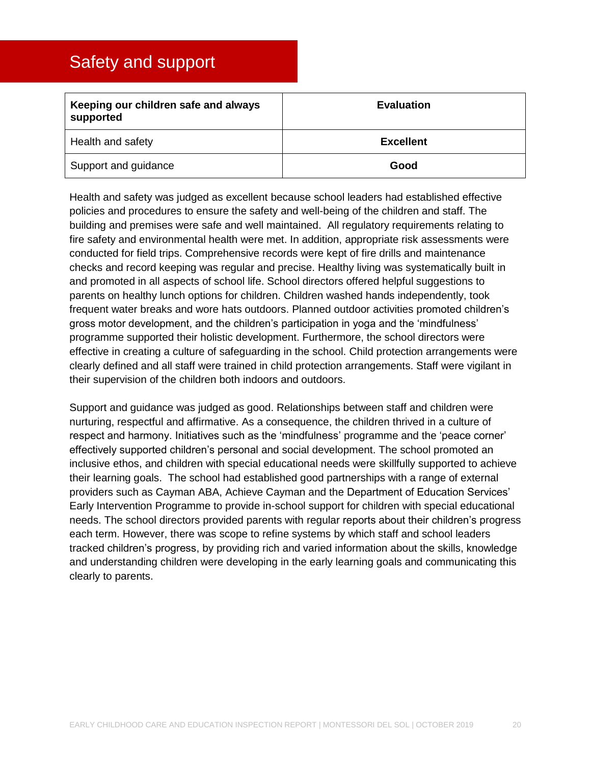### <span id="page-19-0"></span>Safety and support

| Keeping our children safe and always<br>supported | <b>Evaluation</b> |
|---------------------------------------------------|-------------------|
| Health and safety                                 | <b>Excellent</b>  |
| Support and guidance                              | Good              |

Health and safety was judged as excellent because school leaders had established effective policies and procedures to ensure the safety and well-being of the children and staff. The building and premises were safe and well maintained. All regulatory requirements relating to fire safety and environmental health were met. In addition, appropriate risk assessments were conducted for field trips. Comprehensive records were kept of fire drills and maintenance checks and record keeping was regular and precise. Healthy living was systematically built in and promoted in all aspects of school life. School directors offered helpful suggestions to parents on healthy lunch options for children. Children washed hands independently, took frequent water breaks and wore hats outdoors. Planned outdoor activities promoted children's gross motor development, and the children's participation in yoga and the 'mindfulness' programme supported their holistic development. Furthermore, the school directors were effective in creating a culture of safeguarding in the school. Child protection arrangements were clearly defined and all staff were trained in child protection arrangements. Staff were vigilant in their supervision of the children both indoors and outdoors.

Support and guidance was judged as good. Relationships between staff and children were nurturing, respectful and affirmative. As a consequence, the children thrived in a culture of respect and harmony. Initiatives such as the 'mindfulness' programme and the 'peace corner' effectively supported children's personal and social development. The school promoted an inclusive ethos, and children with special educational needs were skillfully supported to achieve their learning goals. The school had established good partnerships with a range of external providers such as Cayman ABA, Achieve Cayman and the Department of Education Services' Early Intervention Programme to provide in-school support for children with special educational needs. The school directors provided parents with regular reports about their children's progress each term. However, there was scope to refine systems by which staff and school leaders tracked children's progress, by providing rich and varied information about the skills, knowledge and understanding children were developing in the early learning goals and communicating this clearly to parents.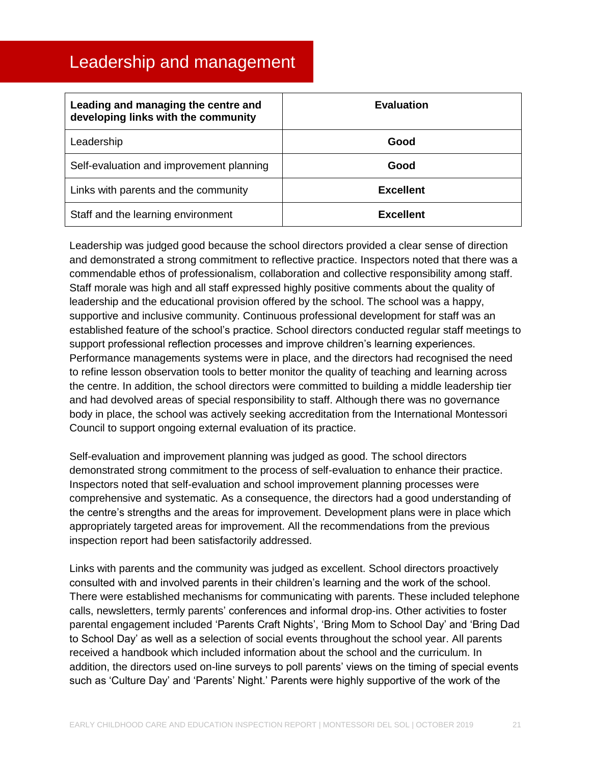### <span id="page-20-0"></span>Leadership and management

| Leading and managing the centre and<br>developing links with the community | <b>Evaluation</b> |
|----------------------------------------------------------------------------|-------------------|
| Leadership                                                                 | Good              |
| Self-evaluation and improvement planning                                   | Good              |
| Links with parents and the community                                       | <b>Excellent</b>  |
| Staff and the learning environment                                         | <b>Excellent</b>  |

Leadership was judged good because the school directors provided a clear sense of direction and demonstrated a strong commitment to reflective practice. Inspectors noted that there was a commendable ethos of professionalism, collaboration and collective responsibility among staff. Staff morale was high and all staff expressed highly positive comments about the quality of leadership and the educational provision offered by the school. The school was a happy, supportive and inclusive community. Continuous professional development for staff was an established feature of the school's practice. School directors conducted regular staff meetings to support professional reflection processes and improve children's learning experiences. Performance managements systems were in place, and the directors had recognised the need to refine lesson observation tools to better monitor the quality of teaching and learning across the centre. In addition, the school directors were committed to building a middle leadership tier and had devolved areas of special responsibility to staff. Although there was no governance body in place, the school was actively seeking accreditation from the International Montessori Council to support ongoing external evaluation of its practice.

Self-evaluation and improvement planning was judged as good. The school directors demonstrated strong commitment to the process of self-evaluation to enhance their practice. Inspectors noted that self-evaluation and school improvement planning processes were comprehensive and systematic. As a consequence, the directors had a good understanding of the centre's strengths and the areas for improvement. Development plans were in place which appropriately targeted areas for improvement. All the recommendations from the previous inspection report had been satisfactorily addressed.

Links with parents and the community was judged as excellent. School directors proactively consulted with and involved parents in their children's learning and the work of the school. There were established mechanisms for communicating with parents. These included telephone calls, newsletters, termly parents' conferences and informal drop-ins. Other activities to foster parental engagement included 'Parents Craft Nights', 'Bring Mom to School Day' and 'Bring Dad to School Day' as well as a selection of social events throughout the school year. All parents received a handbook which included information about the school and the curriculum. In addition, the directors used on-line surveys to poll parents' views on the timing of special events such as 'Culture Day' and 'Parents' Night.' Parents were highly supportive of the work of the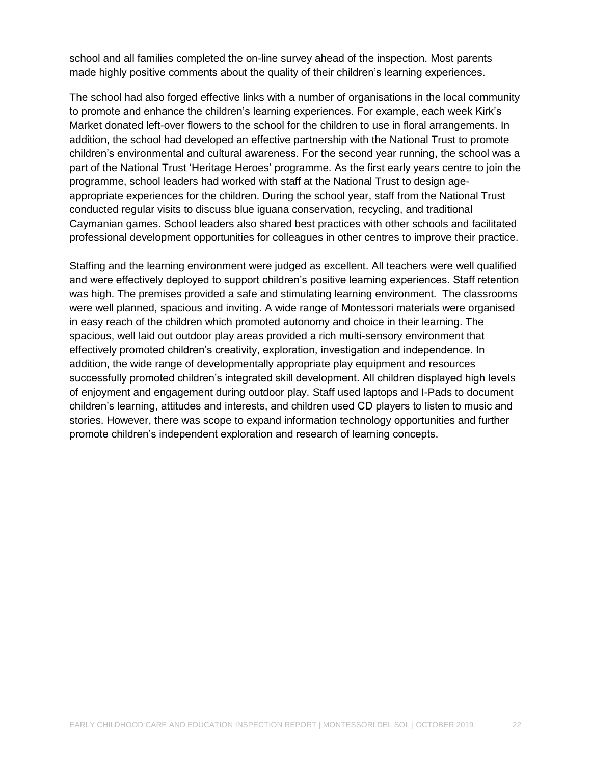school and all families completed the on-line survey ahead of the inspection. Most parents made highly positive comments about the quality of their children's learning experiences.

The school had also forged effective links with a number of organisations in the local community to promote and enhance the children's learning experiences. For example, each week Kirk's Market donated left-over flowers to the school for the children to use in floral arrangements. In addition, the school had developed an effective partnership with the National Trust to promote children's environmental and cultural awareness. For the second year running, the school was a part of the National Trust 'Heritage Heroes' programme. As the first early years centre to join the programme, school leaders had worked with staff at the National Trust to design ageappropriate experiences for the children. During the school year, staff from the National Trust conducted regular visits to discuss blue iguana conservation, recycling, and traditional Caymanian games. School leaders also shared best practices with other schools and facilitated professional development opportunities for colleagues in other centres to improve their practice.

Staffing and the learning environment were judged as excellent. All teachers were well qualified and were effectively deployed to support children's positive learning experiences. Staff retention was high. The premises provided a safe and stimulating learning environment. The classrooms were well planned, spacious and inviting. A wide range of Montessori materials were organised in easy reach of the children which promoted autonomy and choice in their learning. The spacious, well laid out outdoor play areas provided a rich multi-sensory environment that effectively promoted children's creativity, exploration, investigation and independence. In addition, the wide range of developmentally appropriate play equipment and resources successfully promoted children's integrated skill development. All children displayed high levels of enjoyment and engagement during outdoor play. Staff used laptops and I-Pads to document children's learning, attitudes and interests, and children used CD players to listen to music and stories. However, there was scope to expand information technology opportunities and further promote children's independent exploration and research of learning concepts.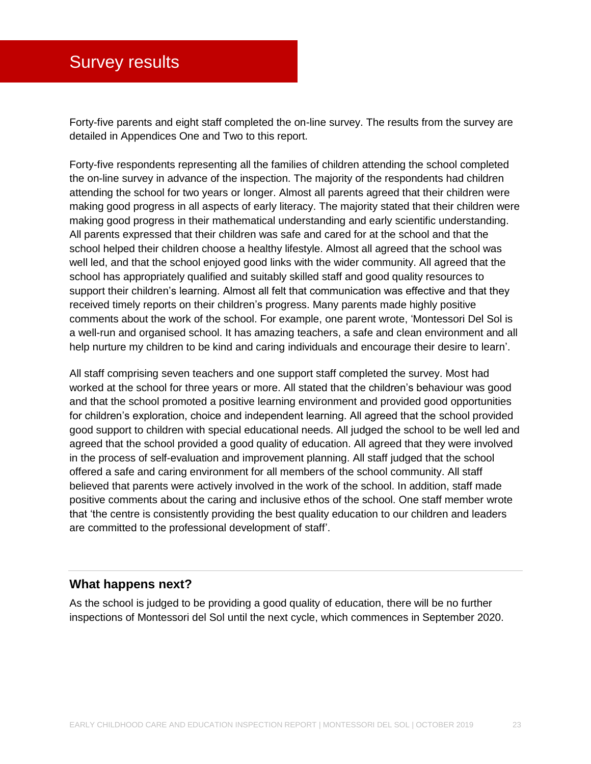### <span id="page-22-0"></span>Survey results

Forty-five parents and eight staff completed the on-line survey. The results from the survey are detailed in Appendices One and Two to this report.

Forty-five respondents representing all the families of children attending the school completed the on-line survey in advance of the inspection. The majority of the respondents had children attending the school for two years or longer. Almost all parents agreed that their children were making good progress in all aspects of early literacy. The majority stated that their children were making good progress in their mathematical understanding and early scientific understanding. All parents expressed that their children was safe and cared for at the school and that the school helped their children choose a healthy lifestyle. Almost all agreed that the school was well led, and that the school enjoyed good links with the wider community. All agreed that the school has appropriately qualified and suitably skilled staff and good quality resources to support their children's learning. Almost all felt that communication was effective and that they received timely reports on their children's progress. Many parents made highly positive comments about the work of the school. For example, one parent wrote, 'Montessori Del Sol is a well-run and organised school. It has amazing teachers, a safe and clean environment and all help nurture my children to be kind and caring individuals and encourage their desire to learn'.

All staff comprising seven teachers and one support staff completed the survey. Most had worked at the school for three years or more. All stated that the children's behaviour was good and that the school promoted a positive learning environment and provided good opportunities for children's exploration, choice and independent learning. All agreed that the school provided good support to children with special educational needs. All judged the school to be well led and agreed that the school provided a good quality of education. All agreed that they were involved in the process of self-evaluation and improvement planning. All staff judged that the school offered a safe and caring environment for all members of the school community. All staff believed that parents were actively involved in the work of the school. In addition, staff made positive comments about the caring and inclusive ethos of the school. One staff member wrote that 'the centre is consistently providing the best quality education to our children and leaders are committed to the professional development of staff'.

#### **What happens next?**

As the school is judged to be providing a good quality of education, there will be no further inspections of Montessori del Sol until the next cycle, which commences in September 2020.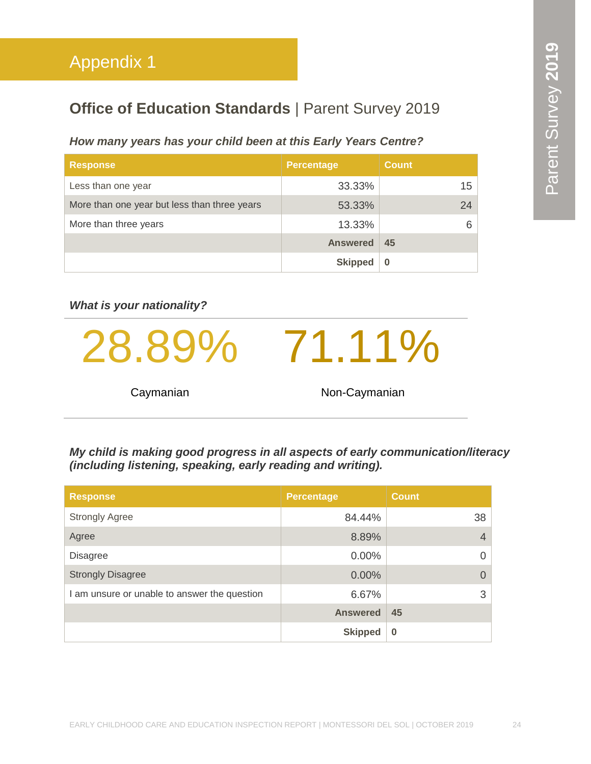### <span id="page-23-0"></span>**Office of Education Standards | Parent Survey 2019**

#### *How many years has your child been at this Early Years Centre?*

| <b>Response</b>                              | <b>Percentage</b> | <b>Count</b>    |
|----------------------------------------------|-------------------|-----------------|
| Less than one year                           | 33.33%            | 15 <sup>1</sup> |
| More than one year but less than three years | 53.33%            | 24              |
| More than three years                        | 13.33%            | 6.              |
|                                              | <b>Answered</b>   | 45              |
|                                              | <b>Skipped</b>    | 0               |

#### *What is your nationality?*

28.89% 71.11% Caymanian Non-Caymanian

*My child is making good progress in all aspects of early communication/literacy (including listening, speaking, early reading and writing).*

| <b>Response</b>                              | <b>Percentage</b> | <b>Count</b> |
|----------------------------------------------|-------------------|--------------|
| <b>Strongly Agree</b>                        | 84.44%            | 38           |
| Agree                                        | 8.89%             | 4            |
| <b>Disagree</b>                              | $0.00\%$          | 0            |
| <b>Strongly Disagree</b>                     | 0.00%             | $\Omega$     |
| I am unsure or unable to answer the question | 6.67%             | 3            |
|                                              | <b>Answered</b>   | 45           |
|                                              | <b>Skipped</b>    | $\bf{0}$     |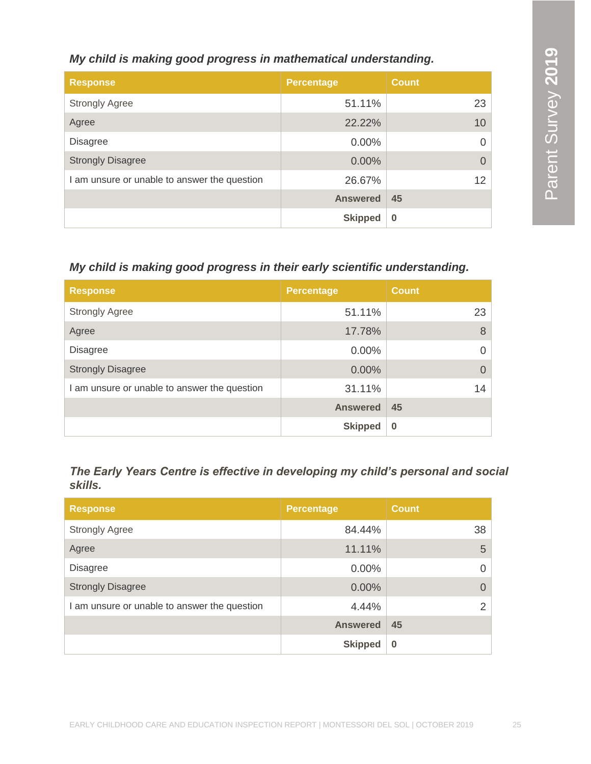#### *My child is making good progress in mathematical understanding.*

| <b>Response</b>                              | <b>Percentage</b> | <b>Count</b> |
|----------------------------------------------|-------------------|--------------|
| <b>Strongly Agree</b>                        | 51.11%            | 23           |
| Agree                                        | 22.22%            | 10           |
| <b>Disagree</b>                              | $0.00\%$          | O            |
| <b>Strongly Disagree</b>                     | $0.00\%$          | $\Omega$     |
| I am unsure or unable to answer the question | 26.67%            | 12           |
|                                              | <b>Answered</b>   | 45           |
|                                              | <b>Skipped</b>    | $\bf{0}$     |

#### *My child is making good progress in their early scientific understanding.*

| <b>Response</b>                              | <b>Percentage</b> | <b>Count</b> |
|----------------------------------------------|-------------------|--------------|
| <b>Strongly Agree</b>                        | 51.11%            | 23           |
| Agree                                        | 17.78%            | 8            |
| <b>Disagree</b>                              | 0.00%             | 0            |
| <b>Strongly Disagree</b>                     | 0.00%             |              |
| I am unsure or unable to answer the question | 31.11%            | 14           |
|                                              | <b>Answered</b>   | 45           |
|                                              | <b>Skipped</b>    | $\bf{0}$     |

#### *The Early Years Centre is effective in developing my child's personal and social skills.*

| <b>Response</b>                              | <b>Percentage</b> | <b>Count</b> |
|----------------------------------------------|-------------------|--------------|
| <b>Strongly Agree</b>                        | 84.44%            | 38           |
| Agree                                        | 11.11%            | 5            |
| <b>Disagree</b>                              | 0.00%             |              |
| <b>Strongly Disagree</b>                     | $0.00\%$          |              |
| I am unsure or unable to answer the question | 4.44%             | ⌒            |
|                                              | <b>Answered</b>   | 45           |
|                                              | <b>Skipped</b>    | $\bf{0}$     |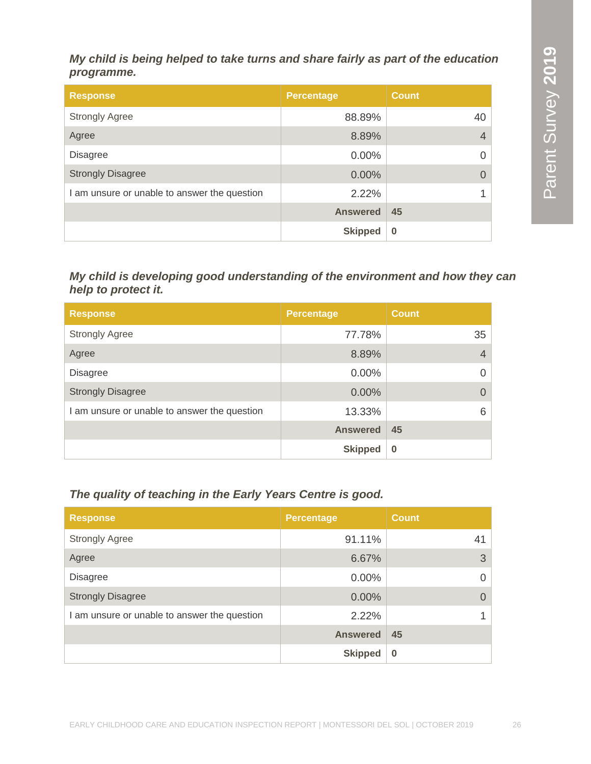#### *My child is being helped to take turns and share fairly as part of the education programme.*

| <b>Response</b>                              | <b>Percentage</b> | <b>Count</b>   |
|----------------------------------------------|-------------------|----------------|
| <b>Strongly Agree</b>                        | 88.89%            | 40             |
| Agree                                        | 8.89%             | $\overline{4}$ |
| <b>Disagree</b>                              | 0.00%             | $\Omega$       |
| <b>Strongly Disagree</b>                     | 0.00%             | $\Omega$       |
| I am unsure or unable to answer the question | 2.22%             | 1              |
|                                              | <b>Answered</b>   | 45             |
|                                              | <b>Skipped</b>    | $\bf{0}$       |

#### *My child is developing good understanding of the environment and how they can help to protect it.*

| <b>Response</b>                              | <b>Percentage</b> | <b>Count</b>   |
|----------------------------------------------|-------------------|----------------|
| <b>Strongly Agree</b>                        | 77.78%            | 35             |
| Agree                                        | 8.89%             | $\overline{4}$ |
| <b>Disagree</b>                              | $0.00\%$          |                |
| <b>Strongly Disagree</b>                     | 0.00%             |                |
| I am unsure or unable to answer the question | 13.33%            | 6              |
|                                              | <b>Answered</b>   | 45             |
|                                              | <b>Skipped</b>    | $\bf{0}$       |

#### *The quality of teaching in the Early Years Centre is good.*

| <b>Response</b>                              | <b>Percentage</b> | <b>Count</b> |
|----------------------------------------------|-------------------|--------------|
| <b>Strongly Agree</b>                        | 91.11%            | 41           |
| Agree                                        | 6.67%             | 3            |
| <b>Disagree</b>                              | $0.00\%$          | $\Omega$     |
| <b>Strongly Disagree</b>                     | 0.00%             | $\Omega$     |
| I am unsure or unable to answer the question | 2.22%             |              |
|                                              | <b>Answered</b>   | 45           |
|                                              | <b>Skipped</b>    | $\bf{0}$     |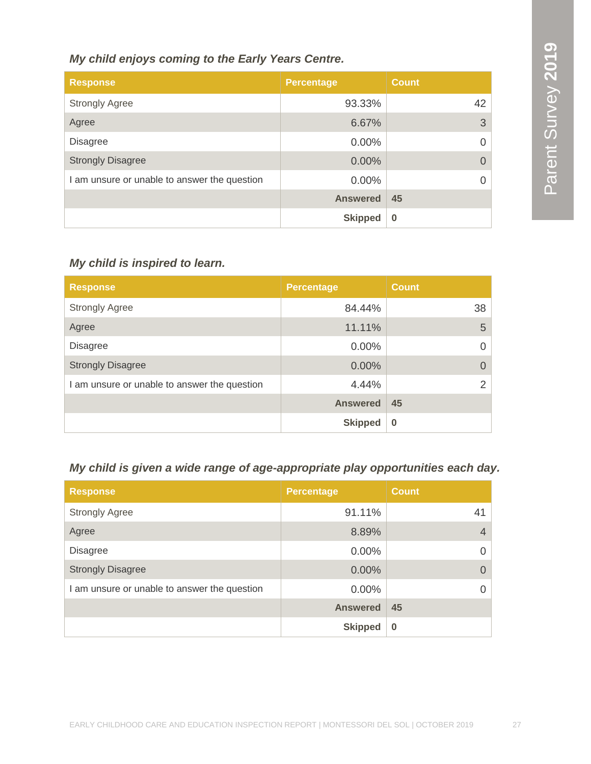#### *My child enjoys coming to the Early Years Centre.*

| <b>Response</b>                              | Percentage      | <b>Count</b> |
|----------------------------------------------|-----------------|--------------|
| <b>Strongly Agree</b>                        | 93.33%          | 42           |
| Agree                                        | 6.67%           | 3            |
| <b>Disagree</b>                              | 0.00%           | 0            |
| <b>Strongly Disagree</b>                     | 0.00%           | 0            |
| I am unsure or unable to answer the question | $0.00\%$        |              |
|                                              | <b>Answered</b> | 45           |
|                                              | <b>Skipped</b>  | $\bf{0}$     |

#### *My child is inspired to learn.*

| <b>Response</b>                              | <b>Percentage</b> | <b>Count</b>  |
|----------------------------------------------|-------------------|---------------|
| <b>Strongly Agree</b>                        | 84.44%            | 38            |
| Agree                                        | 11.11%            | 5             |
| <b>Disagree</b>                              | $0.00\%$          | $\mathcal{O}$ |
| <b>Strongly Disagree</b>                     | 0.00%             |               |
| I am unsure or unable to answer the question | 4.44%             |               |
|                                              | <b>Answered</b>   | 45            |
|                                              | <b>Skipped</b>    | $\bf{0}$      |

#### *My child is given a wide range of age-appropriate play opportunities each day.*

| <b>Response</b>                              | <b>Percentage</b> | <b>Count</b> |
|----------------------------------------------|-------------------|--------------|
| <b>Strongly Agree</b>                        | 91.11%            | 41           |
| Agree                                        | 8.89%             | 4            |
| <b>Disagree</b>                              | $0.00\%$          | 0            |
| <b>Strongly Disagree</b>                     | 0.00%             |              |
| I am unsure or unable to answer the question | $0.00\%$          |              |
|                                              | <b>Answered</b>   | 45           |
|                                              | <b>Skipped</b>    | $\bf{0}$     |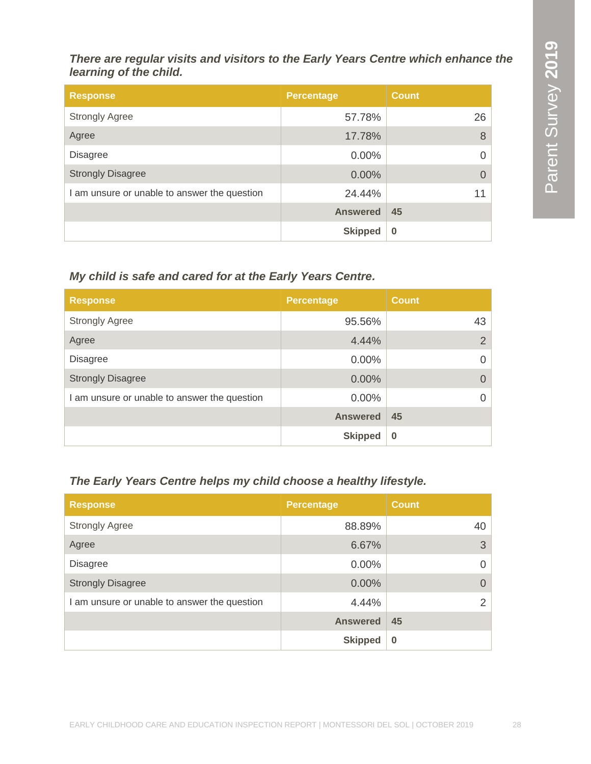*There are regular visits and visitors to the Early Years Centre which enhance the learning of the child.*

| <b>Response</b>                              | <b>Percentage</b> | <b>Count</b> |
|----------------------------------------------|-------------------|--------------|
| <b>Strongly Agree</b>                        | 57.78%            | 26           |
| Agree                                        | 17.78%            | 8            |
| <b>Disagree</b>                              | $0.00\%$          |              |
| <b>Strongly Disagree</b>                     | 0.00%             |              |
| I am unsure or unable to answer the question | 24.44%            | 11           |
|                                              | <b>Answered</b>   | 45           |
|                                              | <b>Skipped</b>    | $\bf{0}$     |

*My child is safe and cared for at the Early Years Centre.*

| <b>Response</b>                              | <b>Percentage</b> | <b>Count</b>   |
|----------------------------------------------|-------------------|----------------|
| <b>Strongly Agree</b>                        | 95.56%            | 43             |
| Agree                                        | 4.44%             | $\overline{2}$ |
| <b>Disagree</b>                              | $0.00\%$          | 0              |
| <b>Strongly Disagree</b>                     | 0.00%             |                |
| I am unsure or unable to answer the question | $0.00\%$          |                |
|                                              | <b>Answered</b>   | 45             |
|                                              | <b>Skipped</b>    | $\bf{0}$       |

### *The Early Years Centre helps my child choose a healthy lifestyle.*

| <b>Response</b>                              | <b>Percentage</b> | <b>Count</b> |
|----------------------------------------------|-------------------|--------------|
| <b>Strongly Agree</b>                        | 88.89%            | 40           |
| Agree                                        | 6.67%             | 3            |
| <b>Disagree</b>                              | $0.00\%$          | $\Omega$     |
| <b>Strongly Disagree</b>                     | $0.00\%$          | $\Omega$     |
| I am unsure or unable to answer the question | 4.44%             | 2            |
|                                              | <b>Answered</b>   | 45           |
|                                              | <b>Skipped</b>    | $\bf{0}$     |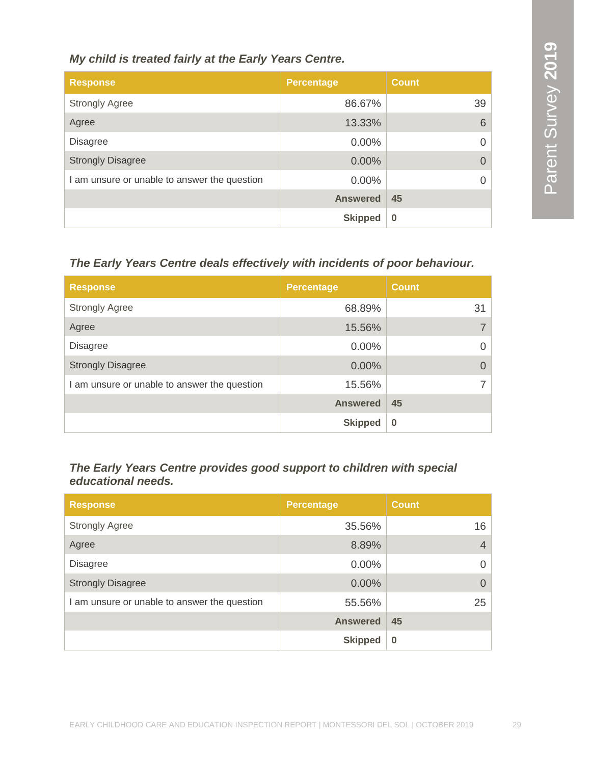#### *My child is treated fairly at the Early Years Centre.*

| <b>Response</b>                              | <b>Percentage</b> | <b>Count</b> |
|----------------------------------------------|-------------------|--------------|
| <b>Strongly Agree</b>                        | 86.67%            | 39           |
| Agree                                        | 13.33%            | 6            |
| <b>Disagree</b>                              | $0.00\%$          |              |
| <b>Strongly Disagree</b>                     | 0.00%             |              |
| I am unsure or unable to answer the question | $0.00\%$          |              |
|                                              | <b>Answered</b>   | 45           |
|                                              | <b>Skipped</b>    | $\bf{0}$     |

#### *The Early Years Centre deals effectively with incidents of poor behaviour.*

| <b>Response</b>                              | <b>Percentage</b> | <b>Count</b> |
|----------------------------------------------|-------------------|--------------|
| <b>Strongly Agree</b>                        | 68.89%            | 31           |
| Agree                                        | 15.56%            |              |
| <b>Disagree</b>                              | $0.00\%$          |              |
| <b>Strongly Disagree</b>                     | 0.00%             |              |
| I am unsure or unable to answer the question | 15.56%            |              |
|                                              | <b>Answered</b>   | 45           |
|                                              | <b>Skipped</b>    | $\bf{0}$     |

#### *The Early Years Centre provides good support to children with special educational needs.*

| <b>Response</b>                              | <b>Percentage</b> | <b>Count</b>   |
|----------------------------------------------|-------------------|----------------|
| <b>Strongly Agree</b>                        | 35.56%            | 16             |
| Agree                                        | 8.89%             | $\overline{4}$ |
| <b>Disagree</b>                              | $0.00\%$          | $\Omega$       |
| <b>Strongly Disagree</b>                     | 0.00%             | $\Omega$       |
| I am unsure or unable to answer the question | 55.56%            | 25             |
|                                              | <b>Answered</b>   | 45             |
|                                              | <b>Skipped</b>    | $\bf{0}$       |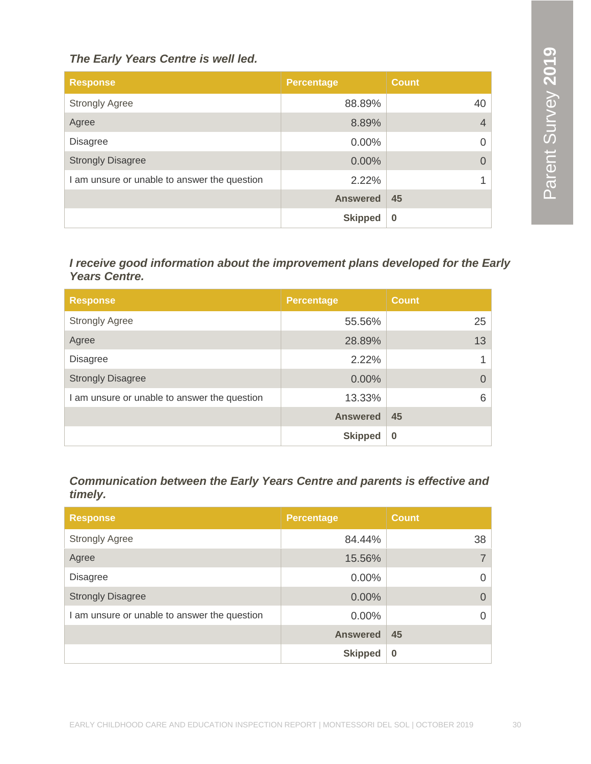#### *The Early Years Centre is well led.*

| <b>Response</b>                              | <b>Percentage</b> | <b>Count</b> |
|----------------------------------------------|-------------------|--------------|
| <b>Strongly Agree</b>                        | 88.89%            | 40           |
| Agree                                        | 8.89%             | 4            |
| <b>Disagree</b>                              | $0.00\%$          | 0            |
| <b>Strongly Disagree</b>                     | 0.00%             |              |
| I am unsure or unable to answer the question | 2.22%             |              |
|                                              | <b>Answered</b>   | 45           |
|                                              | <b>Skipped</b>    | $\bf{0}$     |

*I receive good information about the improvement plans developed for the Early Years Centre.*

| <b>Response</b>                              | <b>Percentage</b> | <b>Count</b> |
|----------------------------------------------|-------------------|--------------|
| <b>Strongly Agree</b>                        | 55.56%            | 25           |
| Agree                                        | 28.89%            | 13           |
| <b>Disagree</b>                              | 2.22%             |              |
| <b>Strongly Disagree</b>                     | $0.00\%$          | $\Omega$     |
| I am unsure or unable to answer the question | 13.33%            | 6            |
|                                              | <b>Answered</b>   | 45           |
|                                              | <b>Skipped</b>    | $\bf{0}$     |

*Communication between the Early Years Centre and parents is effective and timely.*

| <b>Response</b>                              | <b>Percentage</b> | <b>Count</b> |
|----------------------------------------------|-------------------|--------------|
| <b>Strongly Agree</b>                        | 84.44%            | 38           |
| Agree                                        | 15.56%            | 7            |
| <b>Disagree</b>                              | $0.00\%$          | $\Omega$     |
| <b>Strongly Disagree</b>                     | 0.00%             | $\Omega$     |
| I am unsure or unable to answer the question | $0.00\%$          | $\Omega$     |
|                                              | <b>Answered</b>   | 45           |
|                                              | <b>Skipped</b>    | $\bf{0}$     |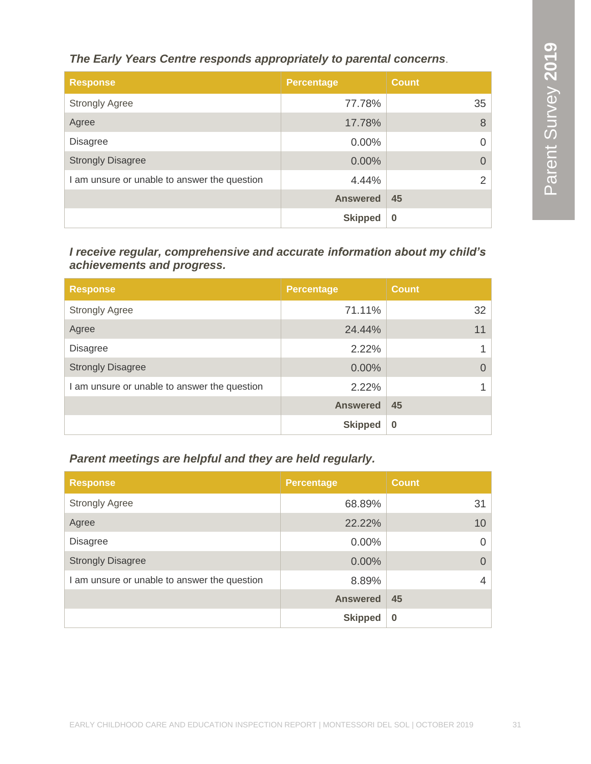*The Early Years Centre responds appropriately to parental concerns*.

| <b>Response</b>                              | <b>Percentage</b> | <b>Count</b>   |
|----------------------------------------------|-------------------|----------------|
| <b>Strongly Agree</b>                        | 77.78%            | 35             |
| Agree                                        | 17.78%            | 8              |
| <b>Disagree</b>                              | $0.00\%$          | 0              |
| <b>Strongly Disagree</b>                     | 0.00%             |                |
| I am unsure or unable to answer the question | 4.44%             | $\overline{2}$ |
|                                              | <b>Answered</b>   | 45             |
|                                              | <b>Skipped</b>    | $\bf{0}$       |

*I receive regular, comprehensive and accurate information about my child's achievements and progress.*

| <b>Response</b>                              | <b>Percentage</b> | <b>Count</b> |
|----------------------------------------------|-------------------|--------------|
| <b>Strongly Agree</b>                        | 71.11%            | 32           |
| Agree                                        | 24.44%            | 11           |
| <b>Disagree</b>                              | 2.22%             |              |
| <b>Strongly Disagree</b>                     | 0.00%             | O            |
| I am unsure or unable to answer the question | 2.22%             |              |
|                                              | <b>Answered</b>   | 45           |
|                                              | <b>Skipped</b>    | $\bf{0}$     |

*Parent meetings are helpful and they are held regularly.*

| <b>Response</b>                              | <b>Percentage</b> | <b>Count</b> |
|----------------------------------------------|-------------------|--------------|
| <b>Strongly Agree</b>                        | 68.89%            | 31           |
| Agree                                        | 22.22%            | 10           |
| <b>Disagree</b>                              | 0.00%             | $\Omega$     |
| <b>Strongly Disagree</b>                     | $0.00\%$          | $\Omega$     |
| I am unsure or unable to answer the question | 8.89%             | 4            |
|                                              | <b>Answered</b>   | 45           |
|                                              | <b>Skipped</b>    | $\bf{0}$     |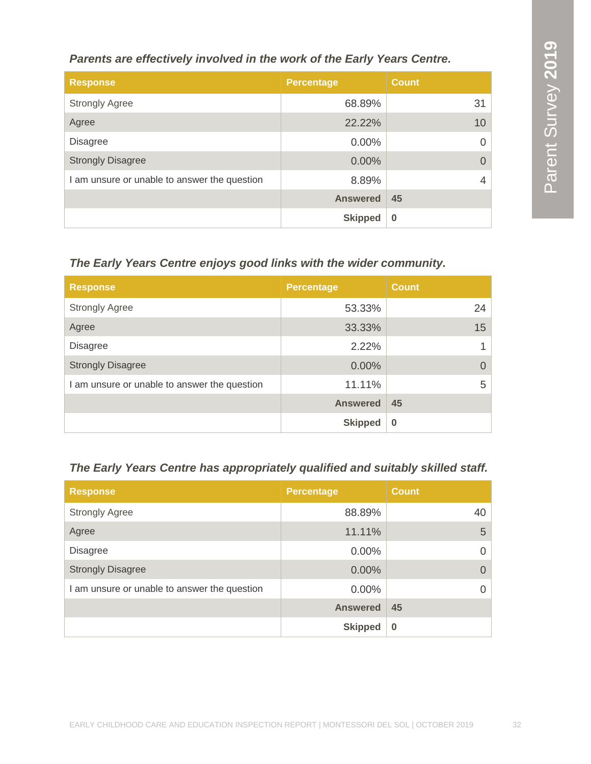#### *Parents are effectively involved in the work of the Early Years Centre.*

| <b>Response</b>                              | <b>Percentage</b> | <b>Count</b> |
|----------------------------------------------|-------------------|--------------|
| <b>Strongly Agree</b>                        | 68.89%            | 31           |
| Agree                                        | 22.22%            | 10           |
| <b>Disagree</b>                              | $0.00\%$          |              |
| <b>Strongly Disagree</b>                     | $0.00\%$          | $\Omega$     |
| I am unsure or unable to answer the question | 8.89%             | 4            |
|                                              | <b>Answered</b>   | 45           |
|                                              | <b>Skipped</b>    | $\bf{0}$     |

#### *The Early Years Centre enjoys good links with the wider community.*

| <b>Response</b>                              | <b>Percentage</b> | <b>Count</b> |
|----------------------------------------------|-------------------|--------------|
| <b>Strongly Agree</b>                        | 53.33%            | 24           |
| Agree                                        | 33.33%            | 15           |
| <b>Disagree</b>                              | 2.22%             |              |
| <b>Strongly Disagree</b>                     | 0.00%             | $\Omega$     |
| I am unsure or unable to answer the question | 11.11%            | 5            |
|                                              | <b>Answered</b>   | 45           |
|                                              | <b>Skipped</b>    | $\bf{0}$     |

#### *The Early Years Centre has appropriately qualified and suitably skilled staff.*

| <b>Response</b>                              | <b>Percentage</b> | <b>Count</b> |
|----------------------------------------------|-------------------|--------------|
| <b>Strongly Agree</b>                        | 88.89%            | 40           |
| Agree                                        | 11.11%            | 5            |
| <b>Disagree</b>                              | $0.00\%$          | $\Omega$     |
| <b>Strongly Disagree</b>                     | 0.00%             | $\Omega$     |
| I am unsure or unable to answer the question | $0.00\%$          | $\Omega$     |
|                                              | <b>Answered</b>   | 45           |
|                                              | <b>Skipped</b>    | $\bf{0}$     |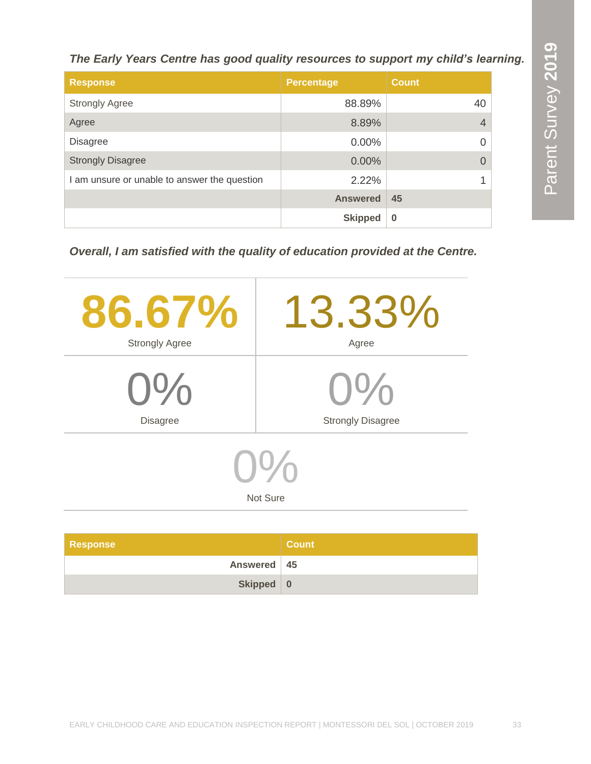*The Early Years Centre has good quality resources to support my child's learning.*

| <b>Response</b>                              | <b>Percentage</b> | <b>Count</b>   |
|----------------------------------------------|-------------------|----------------|
| <b>Strongly Agree</b>                        | 88.89%            | 40             |
| Agree                                        | 8.89%             | $\overline{4}$ |
| <b>Disagree</b>                              | 0.00%             | $\Omega$       |
| <b>Strongly Disagree</b>                     | 0.00%             | $\Omega$       |
| I am unsure or unable to answer the question | 2.22%             | 1              |
|                                              | <b>Answered</b>   | 45             |
|                                              | <b>Skipped</b>    | $\bf{0}$       |

*Overall, I am satisfied with the quality of education provided at the Centre.*

| 86.67%<br><b>Strongly Agree</b>                                  | 13.33%<br>Agree |  |
|------------------------------------------------------------------|-----------------|--|
| $0\%$                                                            | $O\%$           |  |
| <b>Strongly Disagree</b><br><b>Disagree</b><br>$O\%$<br>Not Sure |                 |  |
|                                                                  |                 |  |

| Response      | <b>Count</b> |
|---------------|--------------|
| Answered   45 |              |
| Skipped 0     |              |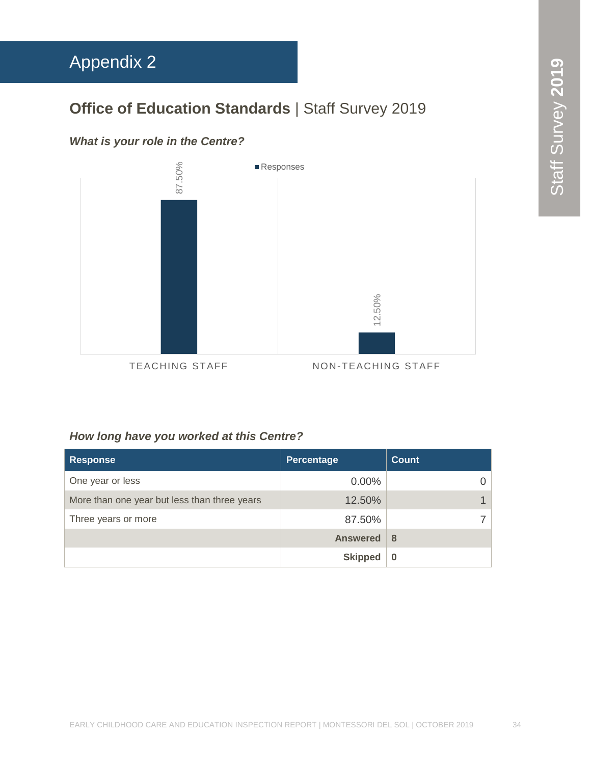### **Office of Education Standards** | Staff Survey 2019

#### *What is your role in the Centre?*

<span id="page-33-0"></span>

#### *How long have you worked at this Centre?*

| <b>Response</b>                              | Percentage      | <b>Count</b> |
|----------------------------------------------|-----------------|--------------|
| One year or less                             | $0.00\%$        |              |
| More than one year but less than three years | 12.50%          |              |
| Three years or more                          | 87.50%          |              |
|                                              | <b>Answered</b> | 8            |
|                                              | <b>Skipped</b>  |              |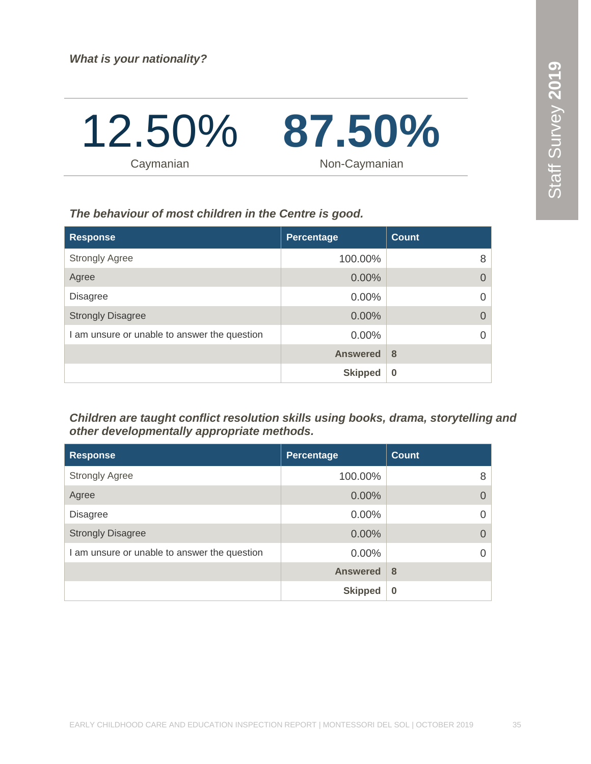

*The behaviour of most children in the Centre is good.*

| <b>Response</b>                              | Percentage      | <b>Count</b> |
|----------------------------------------------|-----------------|--------------|
| <b>Strongly Agree</b>                        | 100.00%         | 8            |
| Agree                                        | 0.00%           | $\Omega$     |
| <b>Disagree</b>                              | $0.00\%$        | $\Omega$     |
| <b>Strongly Disagree</b>                     | 0.00%           | $\Omega$     |
| I am unsure or unable to answer the question | $0.00\%$        | $\Omega$     |
|                                              | <b>Answered</b> | 8            |
|                                              | <b>Skipped</b>  | $\bf{0}$     |

*Children are taught conflict resolution skills using books, drama, storytelling and other developmentally appropriate methods.*

| <b>Response</b>                              | Percentage      | <b>Count</b> |
|----------------------------------------------|-----------------|--------------|
| <b>Strongly Agree</b>                        | 100.00%         | 8            |
| Agree                                        | 0.00%           |              |
| <b>Disagree</b>                              | $0.00\%$        |              |
| <b>Strongly Disagree</b>                     | 0.00%           |              |
| I am unsure or unable to answer the question | $0.00\%$        |              |
|                                              | <b>Answered</b> | 8            |
|                                              | <b>Skipped</b>  | $\bf{0}$     |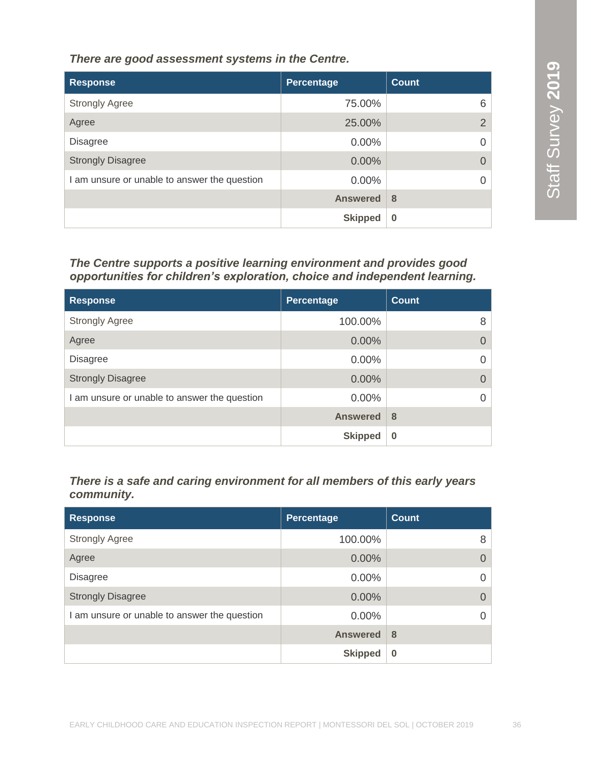*There are good assessment systems in the Centre.*

| <b>Response</b>                              | Percentage      | <b>Count</b>   |
|----------------------------------------------|-----------------|----------------|
| <b>Strongly Agree</b>                        | 75.00%          | 6              |
| Agree                                        | 25.00%          | 2 <sup>1</sup> |
| <b>Disagree</b>                              | 0.00%           | 0              |
| <b>Strongly Disagree</b>                     | 0.00%           |                |
| I am unsure or unable to answer the question | 0.00%           |                |
|                                              | <b>Answered</b> | 8              |
|                                              | <b>Skipped</b>  | $\bf{0}$       |

#### *The Centre supports a positive learning environment and provides good opportunities for children's exploration, choice and independent learning.*

| <b>Response</b>                              | <b>Percentage</b> | <b>Count</b> |
|----------------------------------------------|-------------------|--------------|
| <b>Strongly Agree</b>                        | 100.00%           | 8            |
| Agree                                        | $0.00\%$          | $\Omega$     |
| <b>Disagree</b>                              | $0.00\%$          | $\Omega$     |
| <b>Strongly Disagree</b>                     | $0.00\%$          | $\Omega$     |
| I am unsure or unable to answer the question | $0.00\%$          | $\Omega$     |
|                                              | <b>Answered</b>   | 8            |
|                                              | <b>Skipped</b>    | $\bf{0}$     |

#### *There is a safe and caring environment for all members of this early years community.*

| <b>Response</b>                              | Percentage      | <b>Count</b>     |
|----------------------------------------------|-----------------|------------------|
| <b>Strongly Agree</b>                        | 100.00%         | 8                |
| Agree                                        | 0.00%           | $\left( \right)$ |
| <b>Disagree</b>                              | $0.00\%$        |                  |
| <b>Strongly Disagree</b>                     | $0.00\%$        | $\Omega$         |
| I am unsure or unable to answer the question | $0.00\%$        |                  |
|                                              | <b>Answered</b> | 8                |
|                                              | <b>Skipped</b>  | $\bf{0}$         |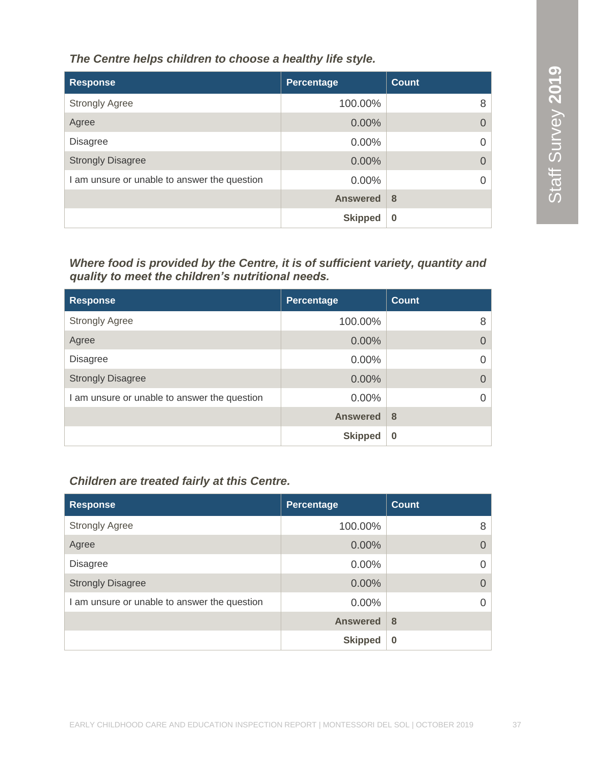*The Centre helps children to choose a healthy life style.*

| <b>Response</b>                              | Percentage      | <b>Count</b> |
|----------------------------------------------|-----------------|--------------|
| <b>Strongly Agree</b>                        | 100.00%         | 8            |
| Agree                                        | 0.00%           |              |
| <b>Disagree</b>                              | 0.00%           |              |
| <b>Strongly Disagree</b>                     | $0.00\%$        |              |
| I am unsure or unable to answer the question | $0.00\%$        |              |
|                                              | <b>Answered</b> | 8            |
|                                              | <b>Skipped</b>  | $\bf{0}$     |

*Where food is provided by the Centre, it is of sufficient variety, quantity and quality to meet the children's nutritional needs.* 

| <b>Response</b>                              | Percentage      | <b>Count</b> |
|----------------------------------------------|-----------------|--------------|
| <b>Strongly Agree</b>                        | 100.00%         | 8            |
| Agree                                        | $0.00\%$        | $\Omega$     |
| <b>Disagree</b>                              | $0.00\%$        | $\Omega$     |
| <b>Strongly Disagree</b>                     | 0.00%           | $\Omega$     |
| I am unsure or unable to answer the question | $0.00\%$        | $\Omega$     |
|                                              | <b>Answered</b> | 8            |
|                                              | <b>Skipped</b>  | $\bf{0}$     |

#### *Children are treated fairly at this Centre.*

| <b>Response</b>                              | <b>Percentage</b> | <b>Count</b> |
|----------------------------------------------|-------------------|--------------|
| <b>Strongly Agree</b>                        | 100.00%           | 8            |
| Agree                                        | 0.00%             |              |
| <b>Disagree</b>                              | $0.00\%$          | 0            |
| <b>Strongly Disagree</b>                     | 0.00%             | 0            |
| I am unsure or unable to answer the question | 0.00%             |              |
|                                              | <b>Answered</b>   | 8            |
|                                              | <b>Skipped</b>    | $\bf{0}$     |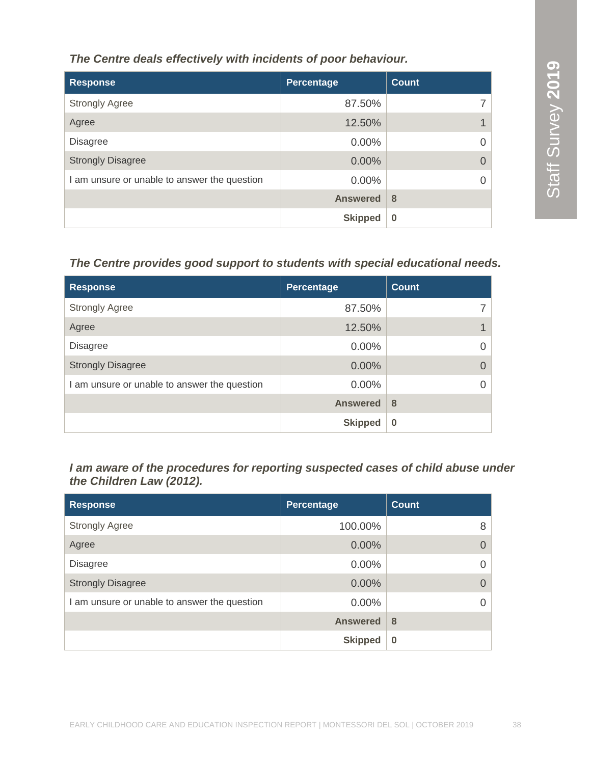#### *The Centre deals effectively with incidents of poor behaviour.*

| <b>Response</b>                              | Percentage      | <b>Count</b> |
|----------------------------------------------|-----------------|--------------|
| <b>Strongly Agree</b>                        | 87.50%          |              |
| Agree                                        | 12.50%          |              |
| <b>Disagree</b>                              | $0.00\%$        |              |
| <b>Strongly Disagree</b>                     | 0.00%           |              |
| I am unsure or unable to answer the question | $0.00\%$        |              |
|                                              | <b>Answered</b> | 8            |
|                                              | <b>Skipped</b>  | $\bf{0}$     |

### *The Centre provides good support to students with special educational needs.*

| <b>Response</b>                              | <b>Percentage</b> | <b>Count</b> |
|----------------------------------------------|-------------------|--------------|
| <b>Strongly Agree</b>                        | 87.50%            |              |
| Agree                                        | 12.50%            |              |
| <b>Disagree</b>                              | $0.00\%$          |              |
| <b>Strongly Disagree</b>                     | 0.00%             |              |
| I am unsure or unable to answer the question | $0.00\%$          |              |
|                                              | <b>Answered</b>   | 8            |
|                                              | <b>Skipped</b>    | $\bf{0}$     |

#### *I am aware of the procedures for reporting suspected cases of child abuse under the Children Law (2012).*

| <b>Response</b>                              | <b>Percentage</b> | <b>Count</b> |
|----------------------------------------------|-------------------|--------------|
| <b>Strongly Agree</b>                        | 100.00%           | 8            |
| Agree                                        | 0.00%             |              |
| <b>Disagree</b>                              | $0.00\%$          |              |
| <b>Strongly Disagree</b>                     | 0.00%             |              |
| I am unsure or unable to answer the question | 0.00%             | 0            |
|                                              | <b>Answered</b>   | 8            |
|                                              | <b>Skipped</b>    | $\bf{0}$     |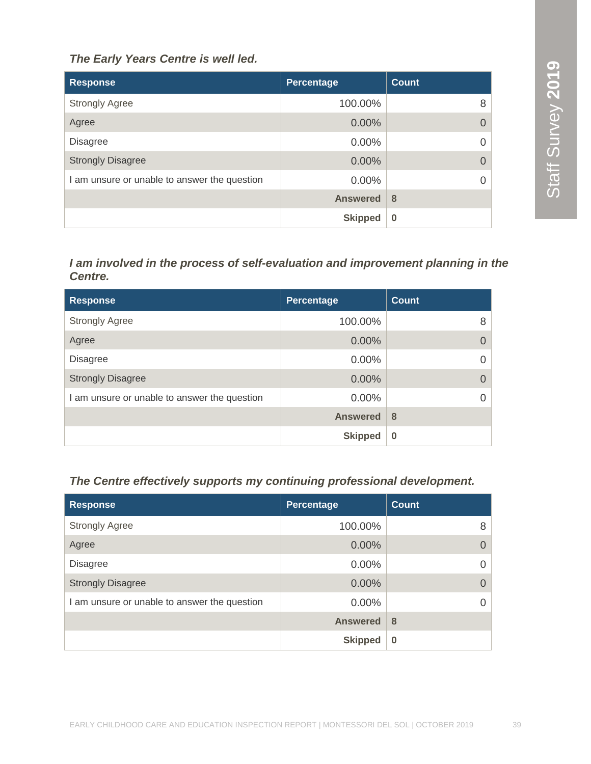#### *The Early Years Centre is well led.*

| <b>Response</b>                              | Percentage      | Count    |
|----------------------------------------------|-----------------|----------|
| <b>Strongly Agree</b>                        | 100.00%         | 8        |
| Agree                                        | 0.00%           | $\Omega$ |
| <b>Disagree</b>                              | $0.00\%$        | $\Omega$ |
| <b>Strongly Disagree</b>                     | $0.00\%$        | $\Omega$ |
| I am unsure or unable to answer the question | $0.00\%$        | $\Omega$ |
|                                              | <b>Answered</b> | 8        |
|                                              | <b>Skipped</b>  | $\bf{0}$ |

#### *I am involved in the process of self-evaluation and improvement planning in the Centre.*

| <b>Response</b>                              | <b>Percentage</b> | <b>Count</b> |
|----------------------------------------------|-------------------|--------------|
| <b>Strongly Agree</b>                        | 100.00%           | 8            |
| Agree                                        | 0.00%             |              |
| <b>Disagree</b>                              | $0.00\%$          |              |
| <b>Strongly Disagree</b>                     | 0.00%             |              |
| I am unsure or unable to answer the question | $0.00\%$          |              |
|                                              | <b>Answered</b>   | 8            |
|                                              | <b>Skipped</b>    | $\bf{0}$     |

#### *The Centre effectively supports my continuing professional development.*

| <b>Response</b>                              | Percentage      | Count    |
|----------------------------------------------|-----------------|----------|
| <b>Strongly Agree</b>                        | 100.00%         | 8        |
| Agree                                        | $0.00\%$        | $\Omega$ |
| <b>Disagree</b>                              | $0.00\%$        | $\Omega$ |
| <b>Strongly Disagree</b>                     | $0.00\%$        | $\Omega$ |
| I am unsure or unable to answer the question | 0.00%           | $\Omega$ |
|                                              | <b>Answered</b> | 8        |
|                                              | <b>Skipped</b>  | $\bf{0}$ |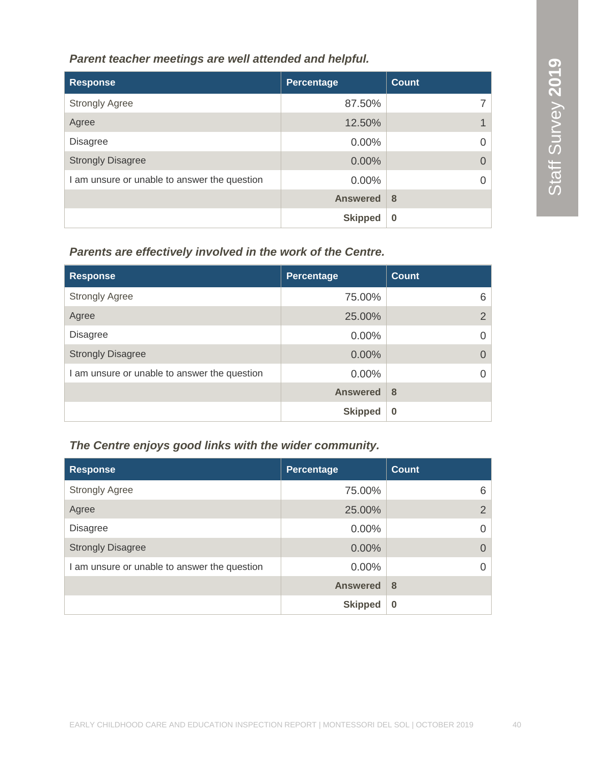#### *Parent teacher meetings are well attended and helpful.*

| <b>Response</b>                              | Percentage      | <b>Count</b> |
|----------------------------------------------|-----------------|--------------|
| <b>Strongly Agree</b>                        | 87.50%          |              |
| Agree                                        | 12.50%          |              |
| <b>Disagree</b>                              | $0.00\%$        |              |
| <b>Strongly Disagree</b>                     | 0.00%           |              |
| I am unsure or unable to answer the question | $0.00\%$        |              |
|                                              | <b>Answered</b> | 8            |
|                                              | <b>Skipped</b>  | $\bf{0}$     |

#### *Parents are effectively involved in the work of the Centre.*

| <b>Response</b>                              | <b>Percentage</b> | <b>Count</b>   |
|----------------------------------------------|-------------------|----------------|
| <b>Strongly Agree</b>                        | 75.00%            | 6              |
| Agree                                        | 25.00%            | $\overline{2}$ |
| <b>Disagree</b>                              | $0.00\%$          |                |
| <b>Strongly Disagree</b>                     | $0.00\%$          | $\Omega$       |
| I am unsure or unable to answer the question | $0.00\%$          |                |
|                                              | <b>Answered</b>   | 8              |
|                                              | <b>Skipped</b>    | $\bf{0}$       |

#### *The Centre enjoys good links with the wider community.*

| <b>Response</b>                              | Percentage      | Count    |
|----------------------------------------------|-----------------|----------|
| <b>Strongly Agree</b>                        | 75.00%          | 6        |
| Agree                                        | 25.00%          | 2        |
| <b>Disagree</b>                              | $0.00\%$        | 0        |
| <b>Strongly Disagree</b>                     | $0.00\%$        | $\Omega$ |
| I am unsure or unable to answer the question | $0.00\%$        | $\Omega$ |
|                                              | <b>Answered</b> | 8        |
|                                              | <b>Skipped</b>  | $\bf{0}$ |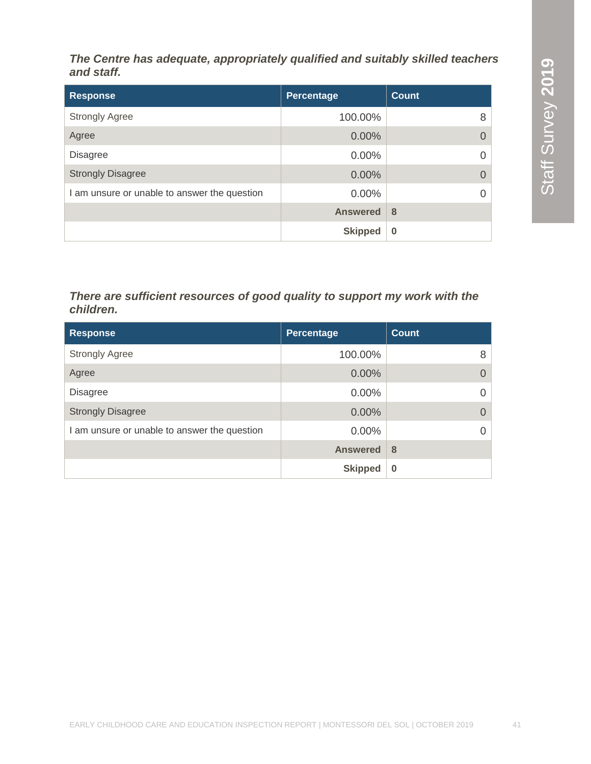*The Centre has adequate, appropriately qualified and suitably skilled teachers and staff.*

| <b>Response</b>                              | Percentage      | <b>Count</b> |
|----------------------------------------------|-----------------|--------------|
| <b>Strongly Agree</b>                        | 100.00%         | 8            |
| Agree                                        | $0.00\%$        | 0            |
| <b>Disagree</b>                              | $0.00\%$        | $\Omega$     |
| <b>Strongly Disagree</b>                     | $0.00\%$        | $\Omega$     |
| I am unsure or unable to answer the question | $0.00\%$        | $\Omega$     |
|                                              | <b>Answered</b> | 8            |
|                                              | <b>Skipped</b>  | $\bf{0}$     |

#### *There are sufficient resources of good quality to support my work with the children.*

| <b>Response</b>                              | Percentage      | <b>Count</b> |
|----------------------------------------------|-----------------|--------------|
| <b>Strongly Agree</b>                        | 100.00%         | 8            |
| Agree                                        | 0.00%           |              |
| <b>Disagree</b>                              | $0.00\%$        |              |
| <b>Strongly Disagree</b>                     | 0.00%           |              |
| I am unsure or unable to answer the question | $0.00\%$        |              |
|                                              | <b>Answered</b> | 8            |
|                                              | <b>Skipped</b>  | $\bf{0}$     |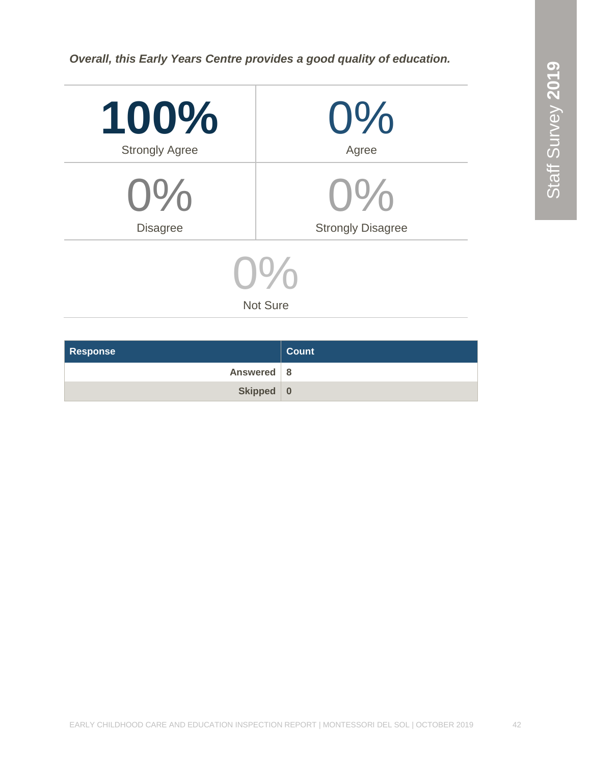*Overall, this Early Years Centre provides a good quality of education.*

| 100%<br><b>Strongly Agree</b> | $0\%$<br>Agree           |  |
|-------------------------------|--------------------------|--|
| $0\%$                         | $O\%$                    |  |
| <b>Disagree</b>               | <b>Strongly Disagree</b> |  |
|                               |                          |  |

Not Sure

| <b>Response</b> | <b>Count</b> |
|-----------------|--------------|
| Answered 8      |              |
| Skipped 0       |              |